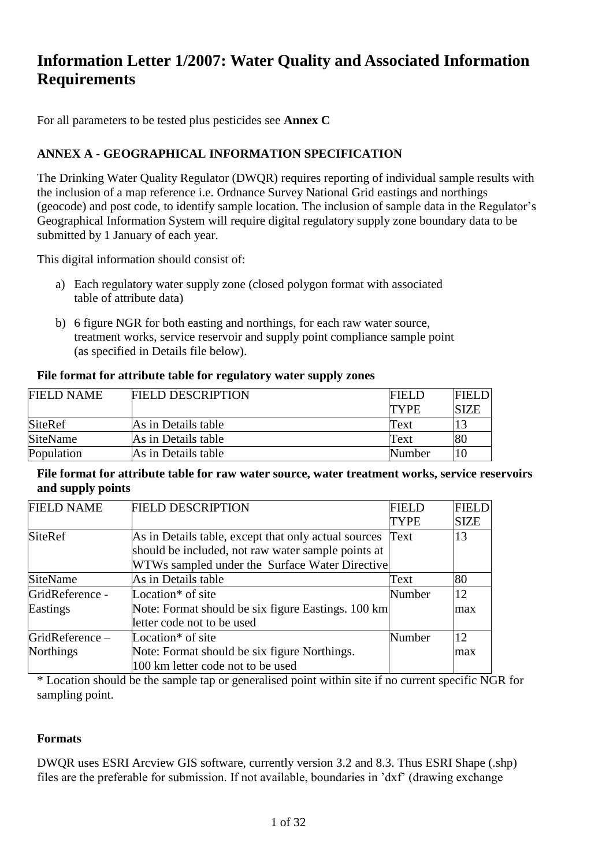## **Information Letter 1/2007: Water Quality and Associated Information Requirements**

For all parameters to be tested plus pesticides see **Annex C**

## **ANNEX A - GEOGRAPHICAL INFORMATION SPECIFICATION**

The Drinking Water Quality Regulator (DWQR) requires reporting of individual sample results with the inclusion of a map reference i.e. Ordnance Survey National Grid eastings and northings (geocode) and post code, to identify sample location. The inclusion of sample data in the Regulator's Geographical Information System will require digital regulatory supply zone boundary data to be submitted by 1 January of each year.

This digital information should consist of:

- a) Each regulatory water supply zone (closed polygon format with associated table of attribute data)
- b) 6 figure NGR for both easting and northings, for each raw water source, treatment works, service reservoir and supply point compliance sample point (as specified in Details file below).

#### **File format for attribute table for regulatory water supply zones**

| <b>FIELD NAME</b> | <b>FIELD DESCRIPTION</b> | <b>FIELD</b> | <b>FIELD</b> |
|-------------------|--------------------------|--------------|--------------|
|                   |                          | <b>TYPE</b>  | SIZE         |
| <b>SiteRef</b>    | As in Details table      | Text         | 13           |
| <b>SiteName</b>   | As in Details table      | Text         | 80           |
| Population        | As in Details table      | Number       | 10           |

**File format for attribute table for raw water source, water treatment works, service reservoirs and supply points**

| <b>FIELD NAME</b> | <b>FIELD DESCRIPTION</b>                             | <b>FIELD</b> | <b>FIELD</b> |
|-------------------|------------------------------------------------------|--------------|--------------|
|                   |                                                      | <b>TYPE</b>  | <b>SIZE</b>  |
| <b>SiteRef</b>    | As in Details table, except that only actual sources | Text         | 13           |
|                   | should be included, not raw water sample points at   |              |              |
|                   | WTWs sampled under the Surface Water Directive       |              |              |
| <b>SiteName</b>   | As in Details table                                  | Text         | 80           |
| GridReference -   | Location <sup>*</sup> of site                        | Number       | 12           |
| Eastings          | Note: Format should be six figure Eastings. 100 km   |              | max          |
|                   | letter code not to be used                           |              |              |
| GridReference-    | Location <sup>*</sup> of site                        | Number       | 12           |
| <b>Northings</b>  | Note: Format should be six figure Northings.         |              | max          |
|                   | 100 km letter code not to be used                    |              |              |

\* Location should be the sample tap or generalised point within site if no current specific NGR for sampling point.

## **Formats**

DWQR uses ESRI Arcview GIS software, currently version 3.2 and 8.3. Thus ESRI Shape (.shp) files are the preferable for submission. If not available, boundaries in 'dxf' (drawing exchange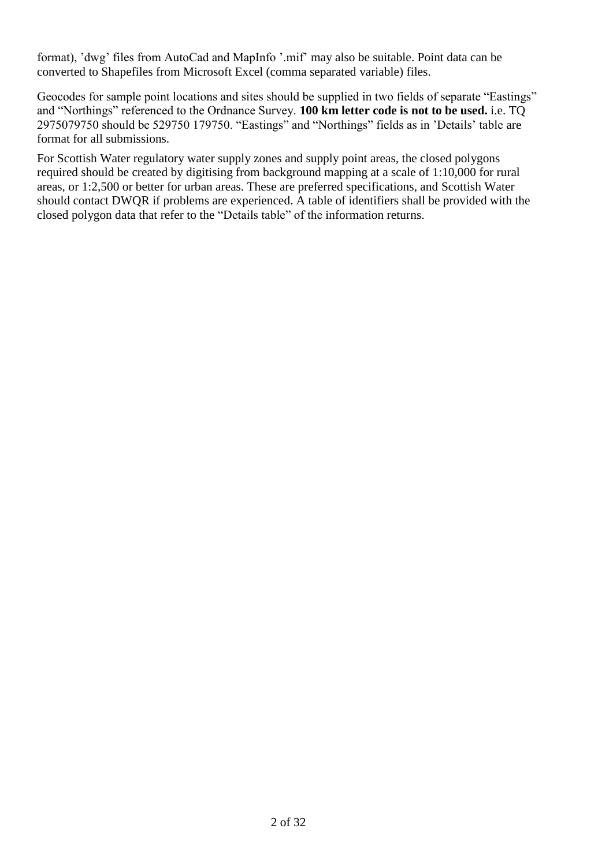format), 'dwg' files from AutoCad and MapInfo '.mif' may also be suitable. Point data can be converted to Shapefiles from Microsoft Excel (comma separated variable) files.

Geocodes for sample point locations and sites should be supplied in two fields of separate "Eastings" and "Northings" referenced to the Ordnance Survey. **100 km letter code is not to be used.** i.e. TQ 2975079750 should be 529750 179750. "Eastings" and "Northings" fields as in 'Details' table are format for all submissions.

For Scottish Water regulatory water supply zones and supply point areas, the closed polygons required should be created by digitising from background mapping at a scale of 1:10,000 for rural areas, or 1:2,500 or better for urban areas. These are preferred specifications, and Scottish Water should contact DWQR if problems are experienced. A table of identifiers shall be provided with the closed polygon data that refer to the "Details table" of the information returns.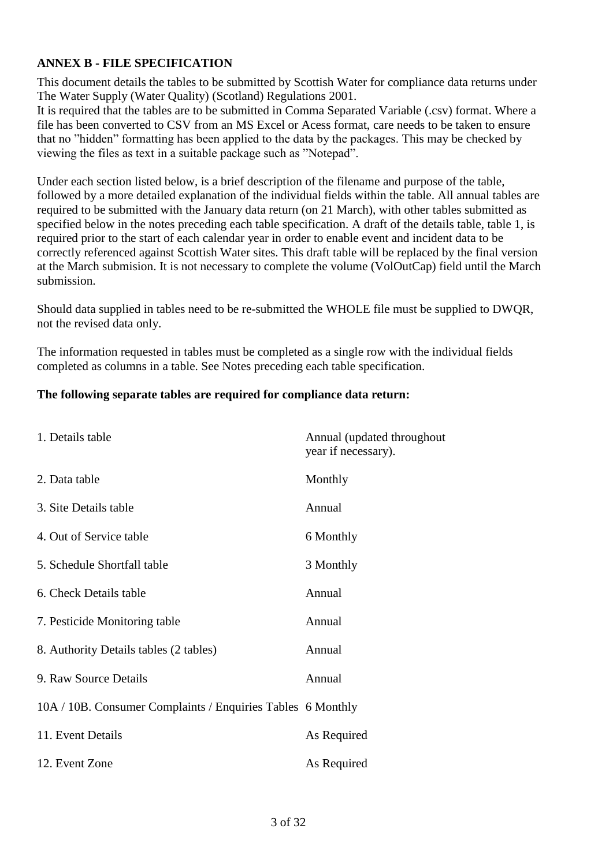## **ANNEX B - FILE SPECIFICATION**

This document details the tables to be submitted by Scottish Water for compliance data returns under The Water Supply (Water Quality) (Scotland) Regulations 2001.

It is required that the tables are to be submitted in Comma Separated Variable (.csv) format. Where a file has been converted to CSV from an MS Excel or Acess format, care needs to be taken to ensure that no "hidden" formatting has been applied to the data by the packages. This may be checked by viewing the files as text in a suitable package such as "Notepad".

Under each section listed below, is a brief description of the filename and purpose of the table, followed by a more detailed explanation of the individual fields within the table. All annual tables are required to be submitted with the January data return (on 21 March), with other tables submitted as specified below in the notes preceding each table specification. A draft of the details table, table 1, is required prior to the start of each calendar year in order to enable event and incident data to be correctly referenced against Scottish Water sites. This draft table will be replaced by the final version at the March submision. It is not necessary to complete the volume (VolOutCap) field until the March submission.

Should data supplied in tables need to be re-submitted the WHOLE file must be supplied to DWQR, not the revised data only.

The information requested in tables must be completed as a single row with the individual fields completed as columns in a table. See Notes preceding each table specification.

#### **The following separate tables are required for compliance data return:**

| 1. Details table                                            | Annual (updated throughout<br>year if necessary). |
|-------------------------------------------------------------|---------------------------------------------------|
| 2. Data table                                               | Monthly                                           |
| 3. Site Details table                                       | Annual                                            |
| 4. Out of Service table                                     | 6 Monthly                                         |
| 5. Schedule Shortfall table                                 | 3 Monthly                                         |
| 6. Check Details table                                      | Annual                                            |
| 7. Pesticide Monitoring table                               | Annual                                            |
| 8. Authority Details tables (2 tables)                      | Annual                                            |
| 9. Raw Source Details                                       | Annual                                            |
| 10A / 10B. Consumer Complaints / Enquiries Tables 6 Monthly |                                                   |
| 11. Event Details                                           | As Required                                       |
| 12. Event Zone                                              | As Required                                       |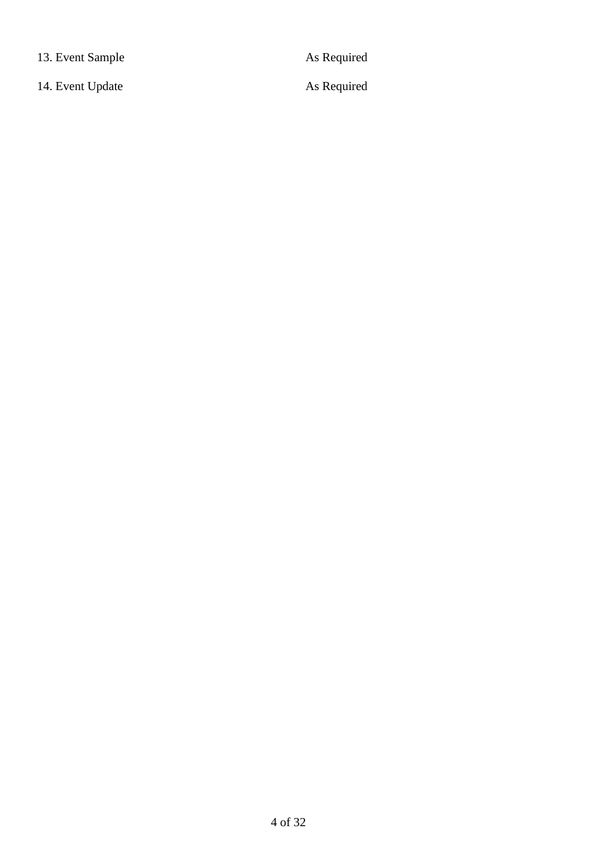13. Event Sample As Required

14. Event Update As Required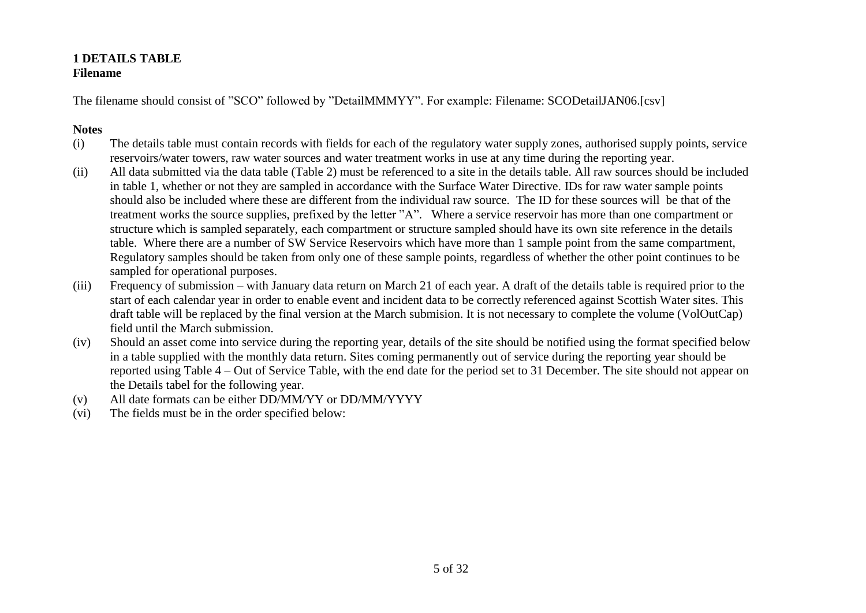#### **1 DETAILS TABLE Filename**

The filename should consist of "SCO" followed by "DetailMMMYY". For example: Filename: SCODetailJAN06.[csv]

- (i) The details table must contain records with fields for each of the regulatory water supply zones, authorised supply points, service reservoirs/water towers, raw water sources and water treatment works in use at any time during the reporting year.
- (ii) All data submitted via the data table (Table 2) must be referenced to a site in the details table. All raw sources should be included in table 1, whether or not they are sampled in accordance with the Surface Water Directive. IDs for raw water sample points should also be included where these are different from the individual raw source. The ID for these sources will be that of the treatment works the source supplies, prefixed by the letter "A". Where a service reservoir has more than one compartment or structure which is sampled separately, each compartment or structure sampled should have its own site reference in the details table. Where there are a number of SW Service Reservoirs which have more than 1 sample point from the same compartment, Regulatory samples should be taken from only one of these sample points, regardless of whether the other point continues to be sampled for operational purposes.
- (iii) Frequency of submission with January data return on March 21 of each year. A draft of the details table is required prior to the start of each calendar year in order to enable event and incident data to be correctly referenced against Scottish Water sites. This draft table will be replaced by the final version at the March submision. It is not necessary to complete the volume (VolOutCap) field until the March submission.
- (iv) Should an asset come into service during the reporting year, details of the site should be notified using the format specified below in a table supplied with the monthly data return. Sites coming permanently out of service during the reporting year should be reported using Table 4 – Out of Service Table, with the end date for the period set to 31 December. The site should not appear on the Details tabel for the following year.
- (v) All date formats can be either DD/MM/YY or DD/MM/YYYY
- (vi) The fields must be in the order specified below: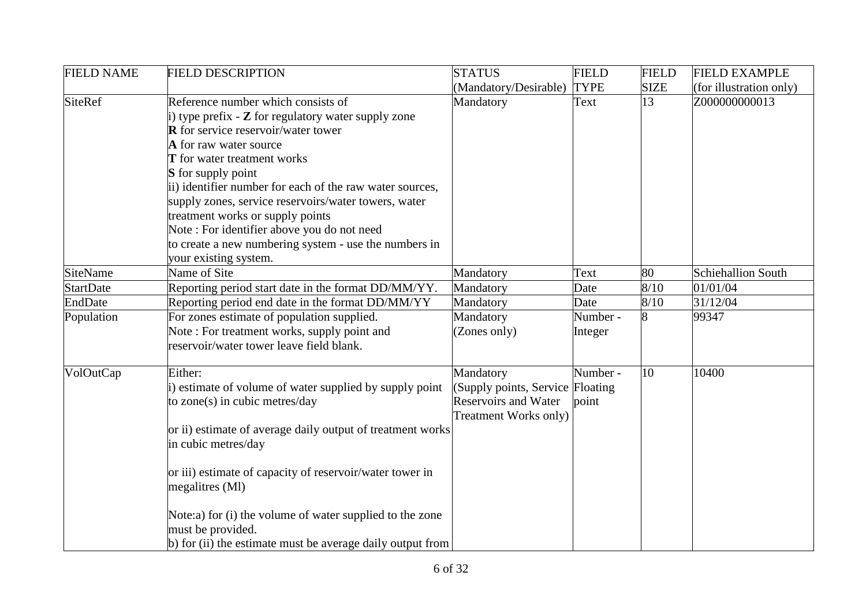| <b>FIELD NAME</b> | <b>FIELD DESCRIPTION</b>                                                                           | <b>STATUS</b>                    | <b>FIELD</b> | <b>FIELD</b> | <b>FIELD EXAMPLE</b>      |
|-------------------|----------------------------------------------------------------------------------------------------|----------------------------------|--------------|--------------|---------------------------|
|                   |                                                                                                    | (Mandatory/Desirable)            | <b>TYPE</b>  | <b>SIZE</b>  | (for illustration only)   |
| <b>SiteRef</b>    | Reference number which consists of<br>i) type prefix $ \mathbb Z$ for regulatory water supply zone | Mandatory                        | Text         | 13           | Z000000000013             |
|                   | <b>R</b> for service reservoir/water tower                                                         |                                  |              |              |                           |
|                   | A for raw water source                                                                             |                                  |              |              |                           |
|                   | T for water treatment works                                                                        |                                  |              |              |                           |
|                   | <b>S</b> for supply point                                                                          |                                  |              |              |                           |
|                   | ii) identifier number for each of the raw water sources,                                           |                                  |              |              |                           |
|                   | supply zones, service reservoirs/water towers, water                                               |                                  |              |              |                           |
|                   | treatment works or supply points                                                                   |                                  |              |              |                           |
|                   | Note: For identifier above you do not need                                                         |                                  |              |              |                           |
|                   | to create a new numbering system - use the numbers in                                              |                                  |              |              |                           |
|                   | your existing system.                                                                              |                                  |              |              |                           |
| SiteName          | Name of Site                                                                                       | Mandatory                        | Text         | 80           | <b>Schiehallion South</b> |
| <b>StartDate</b>  | Reporting period start date in the format DD/MM/YY.                                                | Mandatory                        | Date         | 8/10         | 01/01/04                  |
| EndDate           | Reporting period end date in the format DD/MM/YY                                                   | Mandatory                        | Date         | 8/10         | 31/12/04                  |
| Population        | For zones estimate of population supplied.                                                         | Mandatory                        | Number -     | 8            | 99347                     |
|                   | Note: For treatment works, supply point and                                                        | (Zones only)                     | Integer      |              |                           |
|                   | reservoir/water tower leave field blank.                                                           |                                  |              |              |                           |
| VolOutCap         | Either:                                                                                            | Mandatory                        | Number -     | 10           | 10400                     |
|                   | i) estimate of volume of water supplied by supply point                                            | (Supply points, Service Floating |              |              |                           |
|                   | to zone(s) in cubic metres/day                                                                     | <b>Reservoirs and Water</b>      | point        |              |                           |
|                   |                                                                                                    | Treatment Works only)            |              |              |                           |
|                   | or ii) estimate of average daily output of treatment works                                         |                                  |              |              |                           |
|                   | in cubic metres/day                                                                                |                                  |              |              |                           |
|                   | or iii) estimate of capacity of reservoir/water tower in                                           |                                  |              |              |                           |
|                   | megalitres (Ml)                                                                                    |                                  |              |              |                           |
|                   | Note:a) for (i) the volume of water supplied to the zone                                           |                                  |              |              |                           |
|                   | must be provided.                                                                                  |                                  |              |              |                           |
|                   | $\vert$ b) for (ii) the estimate must be average daily output from                                 |                                  |              |              |                           |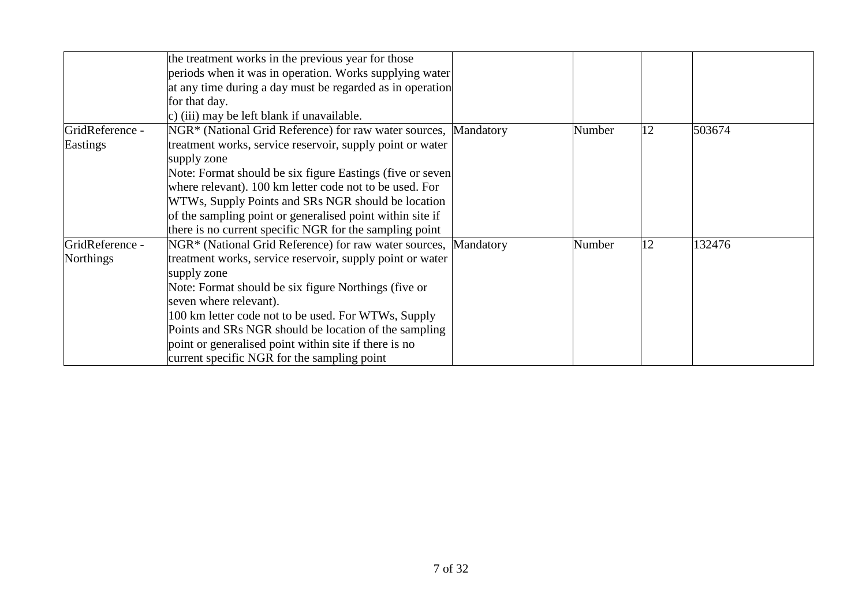|                              | the treatment works in the previous year for those<br>periods when it was in operation. Works supplying water<br>at any time during a day must be regarded as in operation<br>for that day.                                                                                                                                                                                                                                                             |           |        |    |        |
|------------------------------|---------------------------------------------------------------------------------------------------------------------------------------------------------------------------------------------------------------------------------------------------------------------------------------------------------------------------------------------------------------------------------------------------------------------------------------------------------|-----------|--------|----|--------|
|                              | c) (iii) may be left blank if unavailable.                                                                                                                                                                                                                                                                                                                                                                                                              |           |        |    |        |
| GridReference -<br>Eastings  | NGR* (National Grid Reference) for raw water sources,<br>treatment works, service reservoir, supply point or water<br>supply zone<br>Note: Format should be six figure Eastings (five or seven<br>where relevant). 100 km letter code not to be used. For<br>WTWs, Supply Points and SRs NGR should be location<br>of the sampling point or generalised point within site if<br>there is no current specific NGR for the sampling point                 | Mandatory | Number | 12 | 503674 |
| GridReference -<br>Northings | NGR <sup>*</sup> (National Grid Reference) for raw water sources,<br>treatment works, service reservoir, supply point or water<br>supply zone<br>Note: Format should be six figure Northings (five or<br>seven where relevant).<br>100 km letter code not to be used. For WTWs, Supply<br>Points and SRs NGR should be location of the sampling<br>point or generalised point within site if there is no<br>current specific NGR for the sampling point | Mandatory | Number | 12 | 132476 |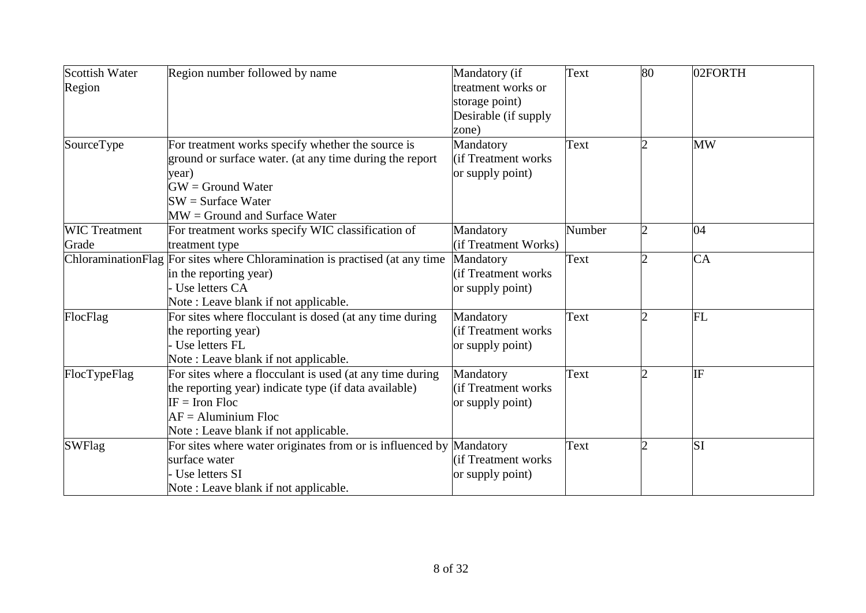| Scottish Water       | Region number followed by name                                              | Mandatory (if        | Text   | 80             | 02FORTH   |
|----------------------|-----------------------------------------------------------------------------|----------------------|--------|----------------|-----------|
| Region               |                                                                             | treatment works or   |        |                |           |
|                      |                                                                             | storage point)       |        |                |           |
|                      |                                                                             | Desirable (if supply |        |                |           |
|                      |                                                                             | zone)                |        |                |           |
| SourceType           | For treatment works specify whether the source is                           | Mandatory            | Text   |                | <b>MW</b> |
|                      | ground or surface water. (at any time during the report                     | (if Treatment works) |        |                |           |
|                      | year)                                                                       | or supply point)     |        |                |           |
|                      | $GW =$ Ground Water                                                         |                      |        |                |           |
|                      | $SW = Surface Water$                                                        |                      |        |                |           |
|                      | $MW =$ Ground and Surface Water                                             |                      |        |                |           |
| <b>WIC Treatment</b> | For treatment works specify WIC classification of                           | Mandatory            | Number | 2              | 04        |
| Grade                | treatment type                                                              | (if Treatment Works) |        |                |           |
|                      | ChloraminationFlag For sites where Chloramination is practised (at any time | Mandatory            | Text   |                | CA        |
|                      | in the reporting year)                                                      | (if Treatment works) |        |                |           |
|                      | Use letters CA                                                              | or supply point)     |        |                |           |
|                      | Note: Leave blank if not applicable.                                        |                      |        |                |           |
| FlocFlag             | For sites where flocculant is dosed (at any time during                     | Mandatory            | Text   |                | FL        |
|                      | the reporting year)                                                         | (if Treatment works) |        |                |           |
|                      | Use letters FL                                                              | or supply point)     |        |                |           |
|                      | Note: Leave blank if not applicable.                                        |                      |        |                |           |
| FlocTypeFlag         | For sites where a flocculant is used (at any time during                    | Mandatory            | Text   | $\overline{2}$ | IF        |
|                      | the reporting year) indicate type (if data available)                       | (if Treatment works  |        |                |           |
|                      | $IF = Iron$ Floc                                                            | or supply point)     |        |                |           |
|                      | $AF =$ Aluminium Floc                                                       |                      |        |                |           |
|                      | Note: Leave blank if not applicable.                                        |                      |        |                |           |
| <b>SWFlag</b>        | For sites where water originates from or is influenced by Mandatory         |                      | Text   |                | <b>SI</b> |
|                      | surface water                                                               | (if Treatment works) |        |                |           |
|                      | Use letters SI                                                              | or supply point)     |        |                |           |
|                      | Note: Leave blank if not applicable.                                        |                      |        |                |           |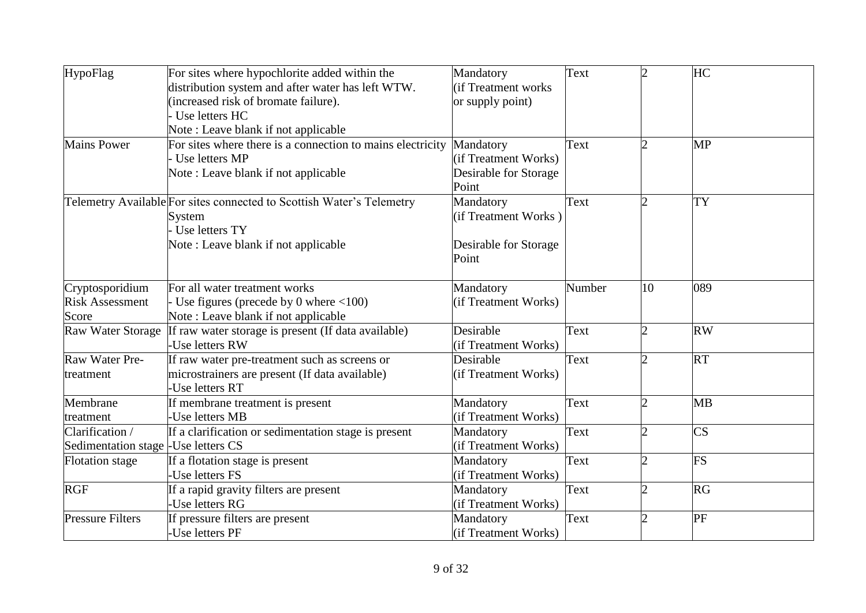| HypoFlag                             | For sites where hypochlorite added within the                         | Mandatory             | Text   | $\overline{2}$ | HC                     |
|--------------------------------------|-----------------------------------------------------------------------|-----------------------|--------|----------------|------------------------|
|                                      | distribution system and after water has left WTW.                     | lif Treatment works   |        |                |                        |
|                                      | (increased risk of bromate failure).                                  | or supply point)      |        |                |                        |
|                                      | Use letters HC                                                        |                       |        |                |                        |
|                                      | Note: Leave blank if not applicable                                   |                       |        |                |                        |
| <b>Mains Power</b>                   | For sites where there is a connection to mains electricity            | Mandatory             | Text   | $\overline{c}$ | <b>MP</b>              |
|                                      | Use letters MP                                                        | (if Treatment Works)  |        |                |                        |
|                                      | Note: Leave blank if not applicable                                   | Desirable for Storage |        |                |                        |
|                                      |                                                                       | Point                 |        |                |                        |
|                                      | Telemetry Available For sites connected to Scottish Water's Telemetry | Mandatory             | Text   | $\overline{2}$ | <b>TY</b>              |
|                                      | System                                                                | (if Treatment Works)  |        |                |                        |
|                                      | Use letters TY                                                        |                       |        |                |                        |
|                                      | Note: Leave blank if not applicable                                   | Desirable for Storage |        |                |                        |
|                                      |                                                                       | Point                 |        |                |                        |
| Cryptosporidium                      | For all water treatment works                                         | Mandatory             | Number | 10             | 089                    |
| <b>Risk Assessment</b>               | Use figures (precede by 0 where $\langle 100 \rangle$                 | (if Treatment Works)  |        |                |                        |
| Score                                | Note: Leave blank if not applicable                                   |                       |        |                |                        |
| Raw Water Storage                    | If raw water storage is present (If data available)                   | Desirable             | Text   |                | <b>RW</b>              |
|                                      | Use letters RW                                                        | (if Treatment Works)  |        |                |                        |
| Raw Water Pre-                       | If raw water pre-treatment such as screens or                         | Desirable             | Text   | $\overline{2}$ | <b>RT</b>              |
| treatment                            | microstrainers are present (If data available)                        | (if Treatment Works)  |        |                |                        |
|                                      | Use letters RT                                                        |                       |        |                |                        |
| Membrane                             | If membrane treatment is present                                      | Mandatory             | Text   |                | <b>MB</b>              |
| treatment                            | -Use letters MB                                                       | (if Treatment Works)  |        |                |                        |
| Clarification /                      | If a clarification or sedimentation stage is present                  | Mandatory             | Text   | 2              | $\overline{\text{CS}}$ |
| Sedimentation stage - Use letters CS |                                                                       | (if Treatment Works)  |        |                |                        |
| <b>Flotation</b> stage               | If a flotation stage is present                                       | Mandatory             | Text   | $\overline{2}$ | <b>FS</b>              |
|                                      | -Use letters FS                                                       | (if Treatment Works)  |        |                |                        |
| <b>RGF</b>                           | If a rapid gravity filters are present                                | Mandatory             | Text   | $\overline{2}$ | <b>RG</b>              |
|                                      | Use letters RG                                                        | (if Treatment Works)  |        |                |                        |
| <b>Pressure Filters</b>              | If pressure filters are present                                       | Mandatory             | Text   | $\overline{2}$ | PF                     |
|                                      | -Use letters PF                                                       | (if Treatment Works)  |        |                |                        |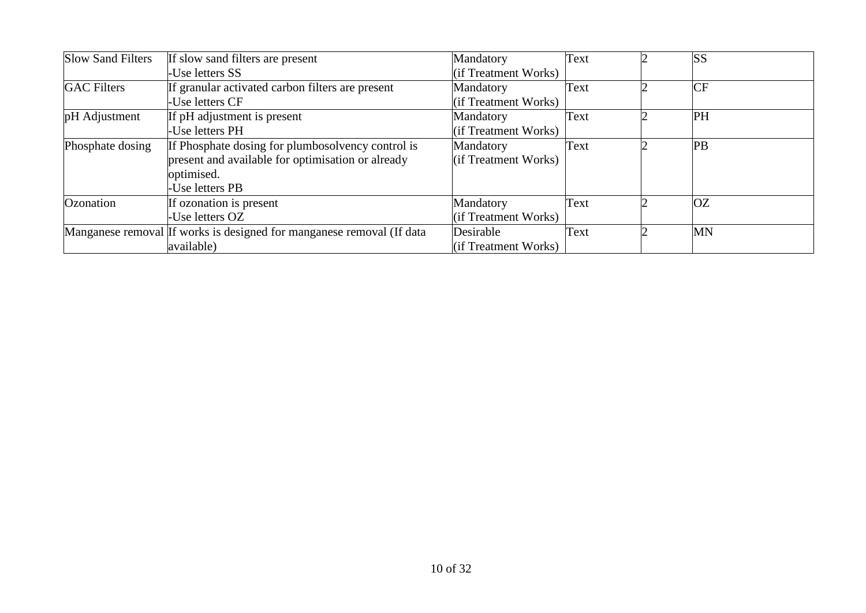| <b>Slow Sand Filters</b> | If slow sand filters are present                                      | Mandatory            | Text | <b>SS</b> |
|--------------------------|-----------------------------------------------------------------------|----------------------|------|-----------|
|                          | -Use letters SS                                                       | (if Treatment Works) |      |           |
| <b>GAC</b> Filters       | If granular activated carbon filters are present                      | Mandatory            | Text | <b>CF</b> |
|                          | -Use letters CF                                                       | (if Treatment Works) |      |           |
| pH Adjustment            | If pH adjustment is present                                           | Mandatory            | Text | PH        |
|                          | -Use letters PH                                                       | (if Treatment Works) |      |           |
| Phosphate dosing         | If Phosphate dosing for plumbosolvency control is                     | Mandatory            | Text | <b>PB</b> |
|                          | present and available for optimisation or already                     | (if Treatment Works) |      |           |
|                          | optimised.                                                            |                      |      |           |
|                          | Use letters PB                                                        |                      |      |           |
| Ozonation                | If ozonation is present                                               | Mandatory            | Text | <b>OZ</b> |
|                          | -Use letters OZ                                                       | (if Treatment Works) |      |           |
|                          | Manganese removal If works is designed for manganese removal (If data | Desirable            | Text | <b>MN</b> |
|                          | available)                                                            | (if Treatment Works) |      |           |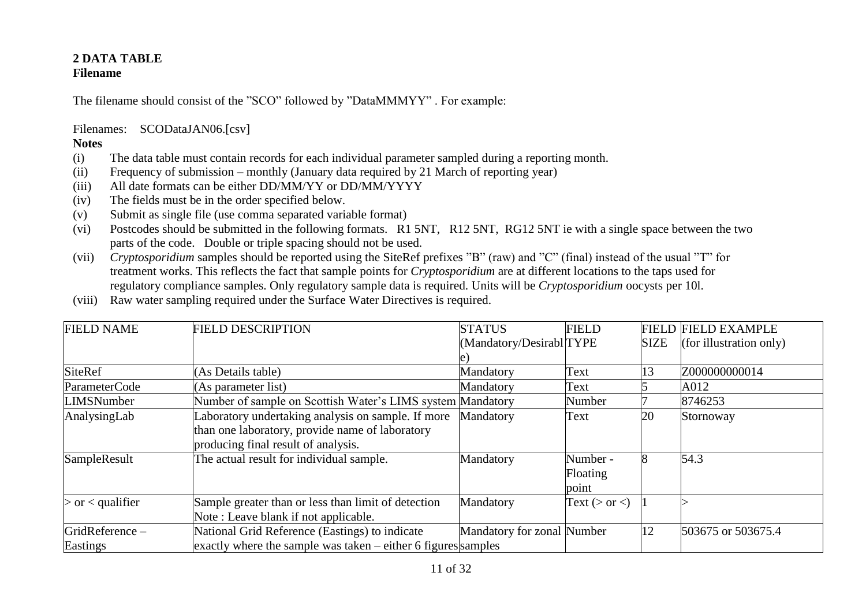#### **2 DATA TABLE Filename**

The filename should consist of the "SCO" followed by "DataMMMYY" . For example:

Filenames: SCODataJAN06.[csv]

- (i) The data table must contain records for each individual parameter sampled during a reporting month.
- (ii) Frequency of submission monthly (January data required by 21 March of reporting year)
- (iii) All date formats can be either DD/MM/YY or DD/MM/YYYY
- (iv) The fields must be in the order specified below.
- (v) Submit as single file (use comma separated variable format)
- (vi) Postcodes should be submitted in the following formats. R1 5NT, R12 5NT, RG12 5NT ie with a single space between the two parts of the code. Double or triple spacing should not be used.
- (vii) *Cryptosporidium* samples should be reported using the SiteRef prefixes "B" (raw) and "C" (final) instead of the usual "T" for treatment works. This reflects the fact that sample points for *Cryptosporidium* are at different locations to the taps used for regulatory compliance samples. Only regulatory sample data is required. Units will be *Cryptosporidium* oocysts per 10l.
- (viii) Raw water sampling required under the Surface Water Directives is required.

| <b>FIELD NAME</b>    | <b>FIELD DESCRIPTION</b>                                        | <b>STATUS</b>              | <b>FIELD</b>        |             | <b>FIELD FIELD EXAMPLE</b> |
|----------------------|-----------------------------------------------------------------|----------------------------|---------------------|-------------|----------------------------|
|                      |                                                                 | (Mandatory/Desirabl TYPE   |                     | <b>SIZE</b> | (for illustration only)    |
|                      |                                                                 |                            |                     |             |                            |
| <b>SiteRef</b>       | (As Details table)                                              | Mandatory                  | Text                | 13          | Z000000000014              |
| ParameterCode        | (As parameter list)                                             | Mandatory                  | Text                |             | A012                       |
| <b>LIMSNumber</b>    | Number of sample on Scottish Water's LIMS system Mandatory      |                            | Number              |             | 8746253                    |
| AnalysingLab         | Laboratory undertaking analysis on sample. If more              | Mandatory                  | Text                | 20          | Stornoway                  |
|                      | than one laboratory, provide name of laboratory                 |                            |                     |             |                            |
|                      | producing final result of analysis.                             |                            |                     |             |                            |
| SampleResult         | The actual result for individual sample.                        | Mandatory                  | Number -            |             | 54.3                       |
|                      |                                                                 |                            | Floating            |             |                            |
|                      |                                                                 |                            | point               |             |                            |
| $>$ or $<$ qualifier | Sample greater than or less than limit of detection             | Mandatory                  | Text ( $>$ or $<$ ) |             |                            |
|                      | Note: Leave blank if not applicable.                            |                            |                     |             |                            |
| GridReference-       | National Grid Reference (Eastings) to indicate                  | Mandatory for zonal Number |                     | 12          | 503675 or 503675.4         |
| Eastings             | exactly where the sample was taken $-$ either 6 figures samples |                            |                     |             |                            |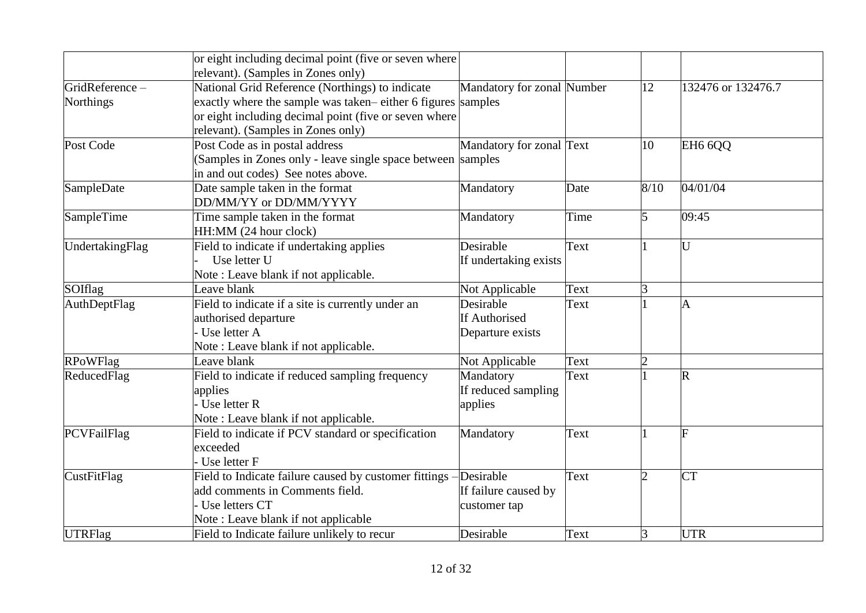|                    | or eight including decimal point (five or seven where            |                            |      |                             |                         |
|--------------------|------------------------------------------------------------------|----------------------------|------|-----------------------------|-------------------------|
|                    | relevant). (Samples in Zones only)                               |                            |      |                             |                         |
| GridReference-     | National Grid Reference (Northings) to indicate                  | Mandatory for zonal Number |      | 12                          | 132476 or 132476.7      |
| <b>Northings</b>   | exactly where the sample was taken–either 6 figures samples      |                            |      |                             |                         |
|                    | or eight including decimal point (five or seven where            |                            |      |                             |                         |
|                    | relevant). (Samples in Zones only)                               |                            |      |                             |                         |
| Post Code          | Post Code as in postal address                                   | Mandatory for zonal Text   |      | 10                          | EH <sub>6</sub> 6QQ     |
|                    | (Samples in Zones only - leave single space between samples      |                            |      |                             |                         |
|                    | in and out codes) See notes above.                               |                            |      |                             |                         |
| SampleDate         | Date sample taken in the format                                  | Mandatory                  | Date | 8/10                        | 04/01/04                |
|                    | DD/MM/YY or DD/MM/YYYY                                           |                            |      |                             |                         |
| SampleTime         | Time sample taken in the format                                  | Mandatory                  | Time | 5                           | 09:45                   |
|                    | HH:MM (24 hour clock)                                            |                            |      |                             |                         |
| UndertakingFlag    | Field to indicate if undertaking applies                         | Desirable                  | Text |                             | U                       |
|                    | Use letter U                                                     | If undertaking exists      |      |                             |                         |
|                    | Note: Leave blank if not applicable.                             |                            |      |                             |                         |
| SOIflag            | Leave blank                                                      | Not Applicable             | Text | 3                           |                         |
| AuthDeptFlag       | Field to indicate if a site is currently under an                | Desirable                  | Text |                             | A                       |
|                    | authorised departure                                             | If Authorised              |      |                             |                         |
|                    | Use letter A                                                     | Departure exists           |      |                             |                         |
|                    | Note: Leave blank if not applicable.                             |                            |      |                             |                         |
| <b>RPoWFlag</b>    | Leave blank                                                      | Not Applicable             | Text | $\overline{2}$              |                         |
| ReducedFlag        | Field to indicate if reduced sampling frequency                  | Mandatory                  | Text |                             | $\overline{\mathsf{R}}$ |
|                    | applies                                                          | If reduced sampling        |      |                             |                         |
|                    | Use letter R                                                     | applies                    |      |                             |                         |
|                    | Note: Leave blank if not applicable.                             |                            |      |                             |                         |
| PCVFailFlag        | Field to indicate if PCV standard or specification               | Mandatory                  | Text |                             | F                       |
|                    | exceeded                                                         |                            |      |                             |                         |
|                    | Use letter F                                                     |                            |      |                             |                         |
| <b>CustFitFlag</b> | Field to Indicate failure caused by customer fittings -Desirable |                            | Text | $\mathcal{D}_{\mathcal{L}}$ | <b>CT</b>               |
|                    | add comments in Comments field.                                  | If failure caused by       |      |                             |                         |
|                    | Use letters CT                                                   | customer tap               |      |                             |                         |
|                    | Note: Leave blank if not applicable                              |                            |      |                             |                         |
| <b>UTRFlag</b>     | Field to Indicate failure unlikely to recur                      | Desirable                  | Text | 3                           | <b>UTR</b>              |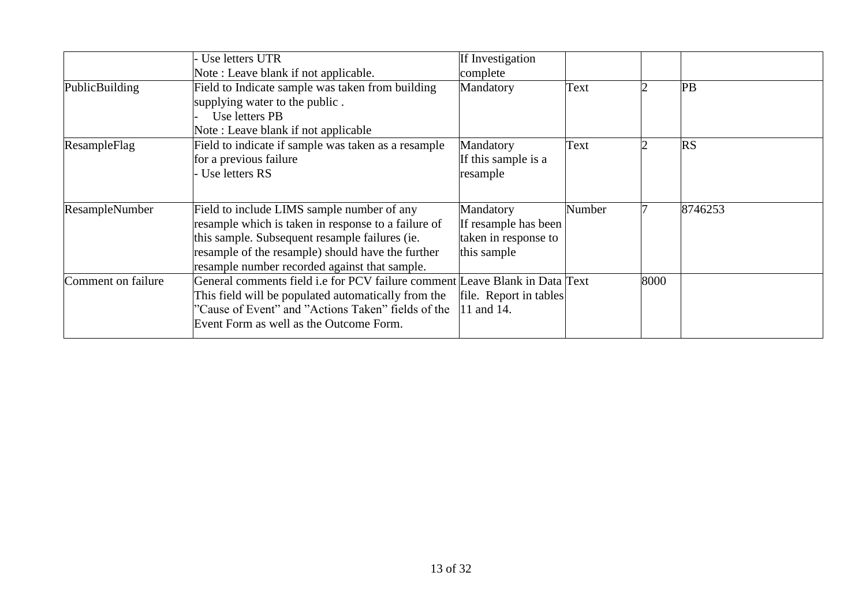|                    | Use letters UTR                                                             | If Investigation       |        |      |           |
|--------------------|-----------------------------------------------------------------------------|------------------------|--------|------|-----------|
|                    | Note: Leave blank if not applicable.                                        | complete               |        |      |           |
| PublicBuilding     | Field to Indicate sample was taken from building                            | Mandatory              | Text   |      | PB        |
|                    | supplying water to the public.                                              |                        |        |      |           |
|                    | Use letters PB                                                              |                        |        |      |           |
|                    | Note: Leave blank if not applicable                                         |                        |        |      |           |
| ResampleFlag       | Field to indicate if sample was taken as a resample                         | Mandatory              | Text   |      | <b>RS</b> |
|                    | for a previous failure                                                      | If this sample is a    |        |      |           |
|                    | Use letters RS                                                              | resample               |        |      |           |
|                    |                                                                             |                        |        |      |           |
| ResampleNumber     | Field to include LIMS sample number of any                                  | Mandatory              | Number |      | 8746253   |
|                    | resample which is taken in response to a failure of                         | If resample has been   |        |      |           |
|                    | this sample. Subsequent resample failures (ie.                              | taken in response to   |        |      |           |
|                    | resample of the resample) should have the further                           | this sample            |        |      |           |
|                    | resample number recorded against that sample.                               |                        |        |      |           |
| Comment on failure | General comments field i.e for PCV failure comment Leave Blank in Data Text |                        |        | 8000 |           |
|                    | This field will be populated automatically from the                         | file. Report in tables |        |      |           |
|                    | "Cause of Event" and "Actions Taken" fields of the                          | 11 and 14.             |        |      |           |
|                    | Event Form as well as the Outcome Form.                                     |                        |        |      |           |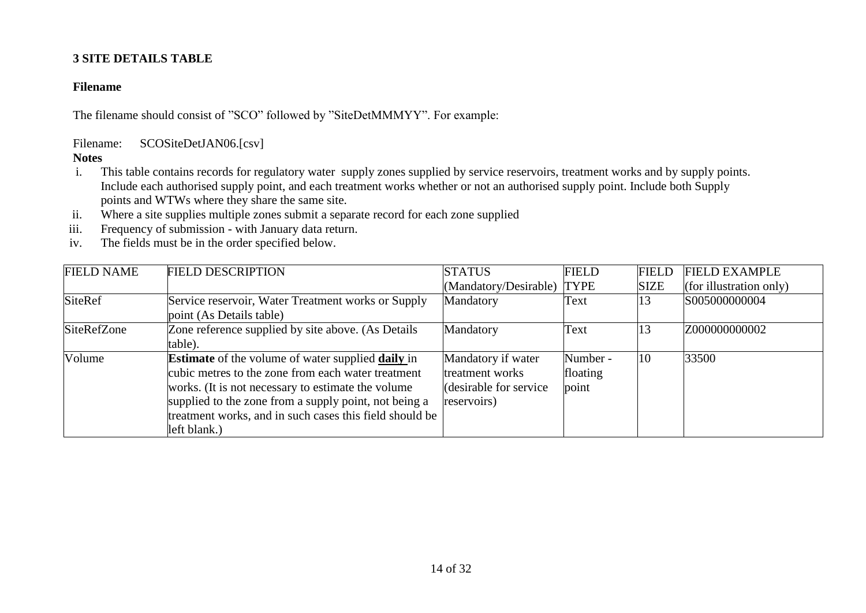## **3 SITE DETAILS TABLE**

## **Filename**

The filename should consist of "SCO" followed by "SiteDetMMMYY". For example:

Filename: SCOSiteDetJAN06.[csv]

- i. This table contains records for regulatory water supply zones supplied by service reservoirs, treatment works and by supply points. Include each authorised supply point, and each treatment works whether or not an authorised supply point. Include both Supply points and WTWs where they share the same site.
- ii. Where a site supplies multiple zones submit a separate record for each zone supplied
- iii. Frequency of submission with January data return.
- iv. The fields must be in the order specified below.

| <b>FIELD NAME</b> | <b>FIELD DESCRIPTION</b>                                        | <b>STATUS</b>              | <b>FIELD</b> | <b>FIELD</b> | <b>FIELD EXAMPLE</b>    |
|-------------------|-----------------------------------------------------------------|----------------------------|--------------|--------------|-------------------------|
|                   |                                                                 | (Mandatory/Desirable) TYPE |              | <b>SIZE</b>  | (for illustration only) |
| <b>SiteRef</b>    | Service reservoir, Water Treatment works or Supply              | Mandatory                  | Text         | 13           | S005000000004           |
|                   | point (As Details table)                                        |                            |              |              |                         |
| SiteRefZone       | Zone reference supplied by site above. (As Details              | Mandatory                  | Text         | 13           | Z000000000002           |
|                   | table).                                                         |                            |              |              |                         |
| Volume            | <b>Estimate</b> of the volume of water supplied <b>daily</b> in | Mandatory if water         | Number -     | 10           | 33500                   |
|                   | cubic metres to the zone from each water treatment              | treatment works            | floating     |              |                         |
|                   | works. (It is not necessary to estimate the volume              | (desirable for service)    | point        |              |                         |
|                   | supplied to the zone from a supply point, not being a           | reservoirs)                |              |              |                         |
|                   | treatment works, and in such cases this field should be         |                            |              |              |                         |
|                   | left blank.)                                                    |                            |              |              |                         |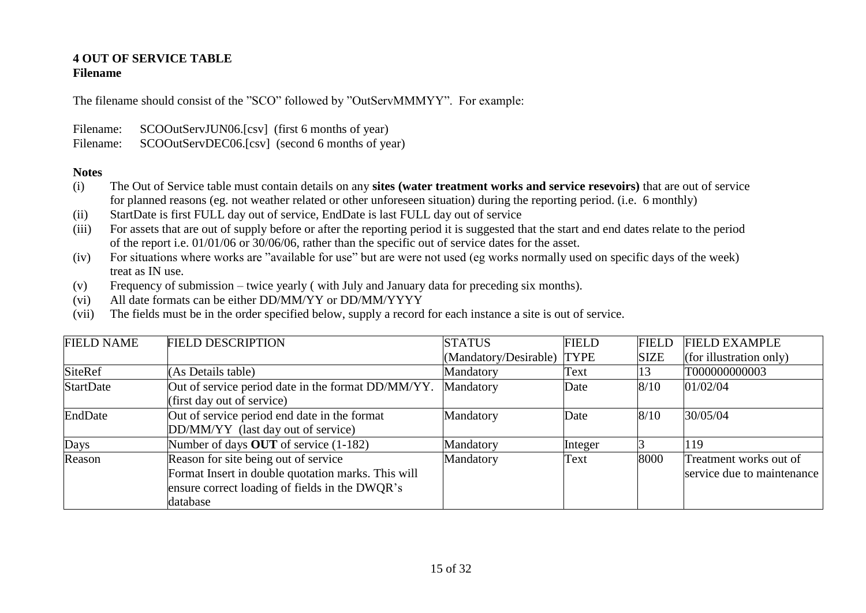# **4 OUT OF SERVICE TABLE**

## **Filename**

The filename should consist of the "SCO" followed by "OutServMMMYY". For example:

Filename: SCOOutServJUN06.[csv] (first 6 months of year)

Filename: SCOOutServDEC06.[csv] (second 6 months of year)

- (i) The Out of Service table must contain details on any **sites (water treatment works and service resevoirs)** that are out of service for planned reasons (eg. not weather related or other unforeseen situation) during the reporting period. (i.e. 6 monthly)
- (ii) StartDate is first FULL day out of service, EndDate is last FULL day out of service
- (iii) For assets that are out of supply before or after the reporting period it is suggested that the start and end dates relate to the period of the report i.e. 01/01/06 or 30/06/06, rather than the specific out of service dates for the asset.
- (iv) For situations where works are "available for use" but are were not used (eg works normally used on specific days of the week) treat as IN use.
- (v) Frequency of submission twice yearly ( with July and January data for preceding six months).
- (vi) All date formats can be either DD/MM/YY or DD/MM/YYYY
- (vii) The fields must be in the order specified below, supply a record for each instance a site is out of service.

| <b>FIELD NAME</b> | <b>FIELD DESCRIPTION</b>                                                                                                                                 | <b>STATUS</b>              | <b>FIELD</b> | <b>FIELD</b> | <b>FIELD EXAMPLE</b>                                 |
|-------------------|----------------------------------------------------------------------------------------------------------------------------------------------------------|----------------------------|--------------|--------------|------------------------------------------------------|
|                   |                                                                                                                                                          | (Mandatory/Desirable) TYPE |              | <b>SIZE</b>  | (for illustration only)                              |
| <b>SiteRef</b>    | (As Details table)                                                                                                                                       | Mandatory                  | Text         | 13           | T000000000003                                        |
| <b>StartDate</b>  | Out of service period date in the format DD/MM/YY.<br>(first day out of service)                                                                         | Mandatory                  | Date         | 8/10         | 01/02/04                                             |
| EndDate           | Out of service period end date in the format<br>DD/MM/YY (last day out of service)                                                                       | Mandatory                  | Date         | 8/10         | 30/05/04                                             |
| Days              | Number of days OUT of service (1-182)                                                                                                                    | Mandatory                  | Integer      |              | 119                                                  |
| Reason            | Reason for site being out of service<br>Format Insert in double quotation marks. This will<br>ensure correct loading of fields in the DWQR's<br>database | Mandatory                  | Text         | 8000         | Treatment works out of<br>service due to maintenance |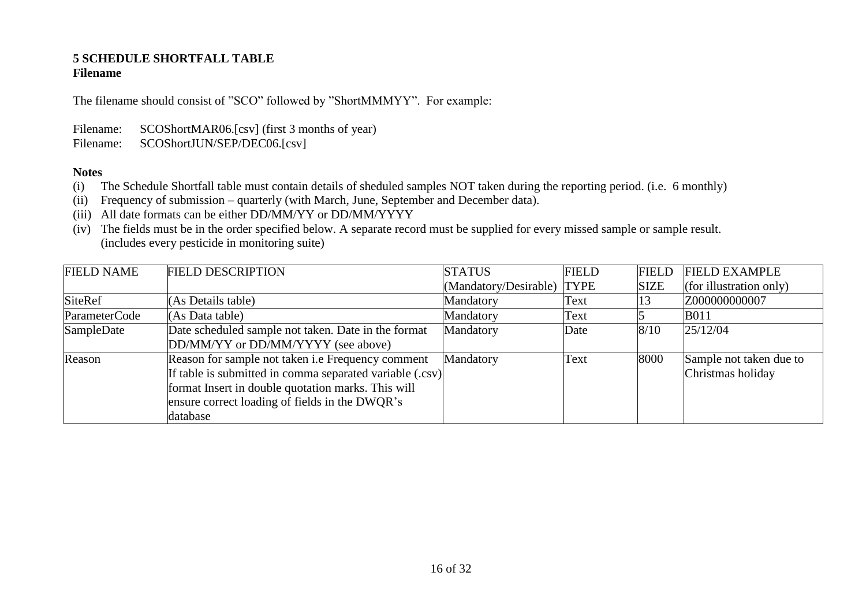#### **5 SCHEDULE SHORTFALL TABLE Filename**

The filename should consist of "SCO" followed by "ShortMMMYY". For example:

Filename: SCOShortMAR06.[csv] (first 3 months of year)

Filename: SCOShortJUN/SEP/DEC06.[csv]

- (i) The Schedule Shortfall table must contain details of sheduled samples NOT taken during the reporting period. (i.e. 6 monthly)
- (ii) Frequency of submission quarterly (with March, June, September and December data).
- (iii) All date formats can be either DD/MM/YY or DD/MM/YYYY
- (iv) The fields must be in the order specified below. A separate record must be supplied for every missed sample or sample result. (includes every pesticide in monitoring suite)

| <b>FIELD NAME</b> | <b>FIELD DESCRIPTION</b>                                                                                                                                                                                                                 | <b>STATUS</b>              | <b>FIELD</b> | <b>FIELD</b> | <b>FIELD EXAMPLE</b>                         |
|-------------------|------------------------------------------------------------------------------------------------------------------------------------------------------------------------------------------------------------------------------------------|----------------------------|--------------|--------------|----------------------------------------------|
|                   |                                                                                                                                                                                                                                          | (Mandatory/Desirable) TYPE |              | <b>SIZE</b>  | (for illustration only)                      |
| <b>SiteRef</b>    | (As Details table)                                                                                                                                                                                                                       | Mandatory                  | Text         | 13           | Z000000000007                                |
| ParameterCode     | (As Data table)                                                                                                                                                                                                                          | Mandatory                  | Text         |              | <b>B011</b>                                  |
| SampleDate        | Date scheduled sample not taken. Date in the format<br>DD/MM/YY or DD/MM/YYYY (see above)                                                                                                                                                | Mandatory                  | Date         | 8/10         | 25/12/04                                     |
| Reason            | Reason for sample not taken <i>i.e</i> Frequency comment<br>If table is submitted in comma separated variable (.csv)<br>format Insert in double quotation marks. This will<br>ensure correct loading of fields in the DWQR's<br>database | Mandatory                  | Text         | 8000         | Sample not taken due to<br>Christmas holiday |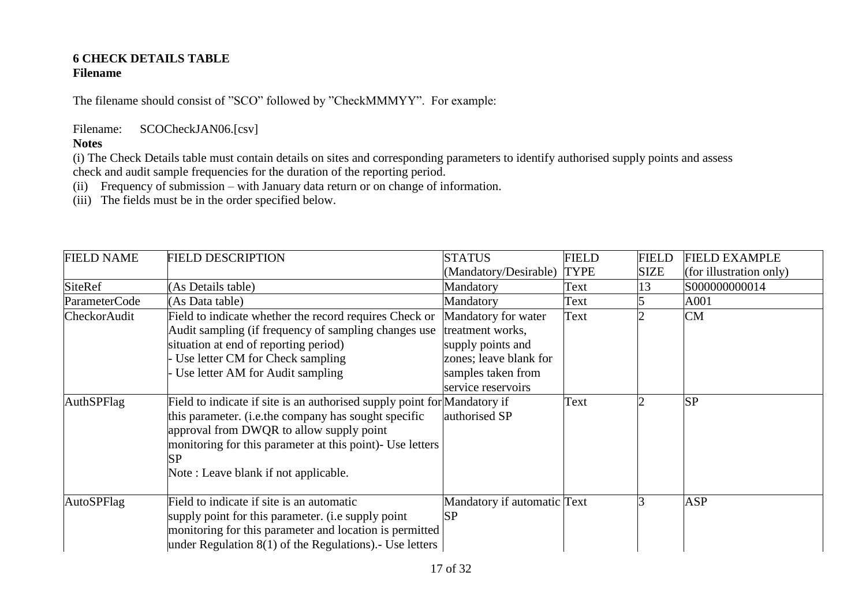#### **6 CHECK DETAILS TABLE Filename**

The filename should consist of "SCO" followed by "CheckMMMYY". For example:

Filename: SCOCheckJAN06.[csv]

## **Notes**

(i) The Check Details table must contain details on sites and corresponding parameters to identify authorised supply points and assess check and audit sample frequencies for the duration of the reporting period.

(ii) Frequency of submission – with January data return or on change of information.

(iii) The fields must be in the order specified below.

| <b>FIELD NAME</b> | <b>FIELD DESCRIPTION</b>                                                                                                                                                                                                                                                                | <b>STATUS</b>                                                                                                                      | <b>FIELD</b> | <b>FIELD</b> | <b>FIELD EXAMPLE</b>    |
|-------------------|-----------------------------------------------------------------------------------------------------------------------------------------------------------------------------------------------------------------------------------------------------------------------------------------|------------------------------------------------------------------------------------------------------------------------------------|--------------|--------------|-------------------------|
|                   |                                                                                                                                                                                                                                                                                         | (Mandatory/Desirable)                                                                                                              | <b>TYPE</b>  | <b>SIZE</b>  | (for illustration only) |
| <b>SiteRef</b>    | (As Details table)                                                                                                                                                                                                                                                                      | Mandatory                                                                                                                          | Text         | l3           | S000000000014           |
| ParameterCode     | (As Data table)                                                                                                                                                                                                                                                                         | Mandatory                                                                                                                          | Text         |              | A001                    |
| CheckorAudit      | Field to indicate whether the record requires Check or<br>Audit sampling (if frequency of sampling changes use<br>situation at end of reporting period)<br>Use letter CM for Check sampling<br>Use letter AM for Audit sampling                                                         | Mandatory for water<br>treatment works,<br>supply points and<br>zones; leave blank for<br>samples taken from<br>service reservoirs | Text         |              | <b>CM</b>               |
| AuthSPFlag        | Field to indicate if site is an authorised supply point for Mandatory if<br>this parameter. (i.e.the company has sought specific<br>approval from DWQR to allow supply point<br>monitoring for this parameter at this point)- Use letters<br>SP<br>Note: Leave blank if not applicable. | authorised SP                                                                                                                      | Text         |              | <b>SP</b>               |
| AutoSPFlag        | Field to indicate if site is an automatic<br>supply point for this parameter. (i.e supply point<br>monitoring for this parameter and location is permitted<br>under Regulation $8(1)$ of the Regulations). Use letters                                                                  | Mandatory if automatic Text<br><b>SP</b>                                                                                           |              |              | <b>ASP</b>              |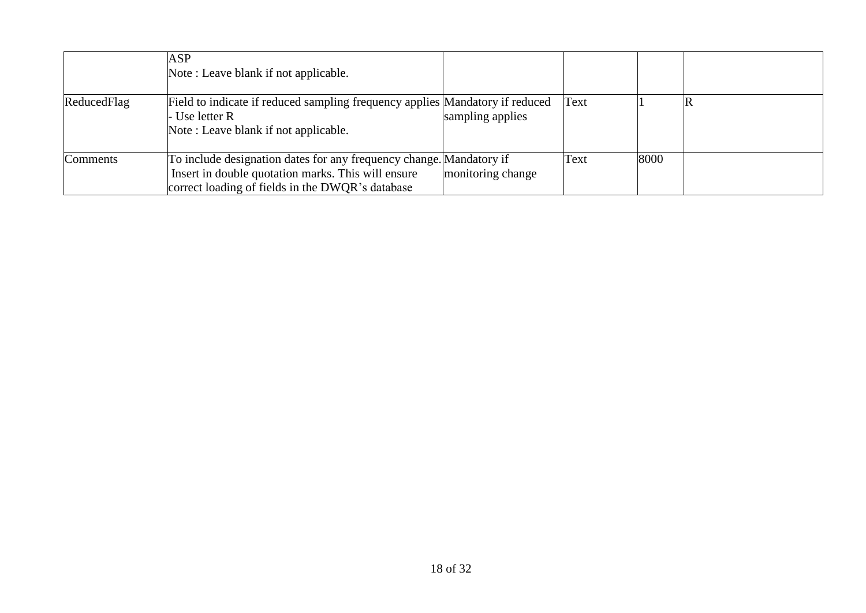|             | ASP<br>Note: Leave blank if not applicable.                                                                                                                                   |                   |      |      |    |
|-------------|-------------------------------------------------------------------------------------------------------------------------------------------------------------------------------|-------------------|------|------|----|
| ReducedFlag | Field to indicate if reduced sampling frequency applies Mandatory if reduced<br>- Use letter R<br>Note: Leave blank if not applicable.                                        | sampling applies  | Text |      | ΙR |
| Comments    | To include designation dates for any frequency change. Mandatory if<br>Insert in double quotation marks. This will ensure<br>correct loading of fields in the DWQR's database | monitoring change | Text | 8000 |    |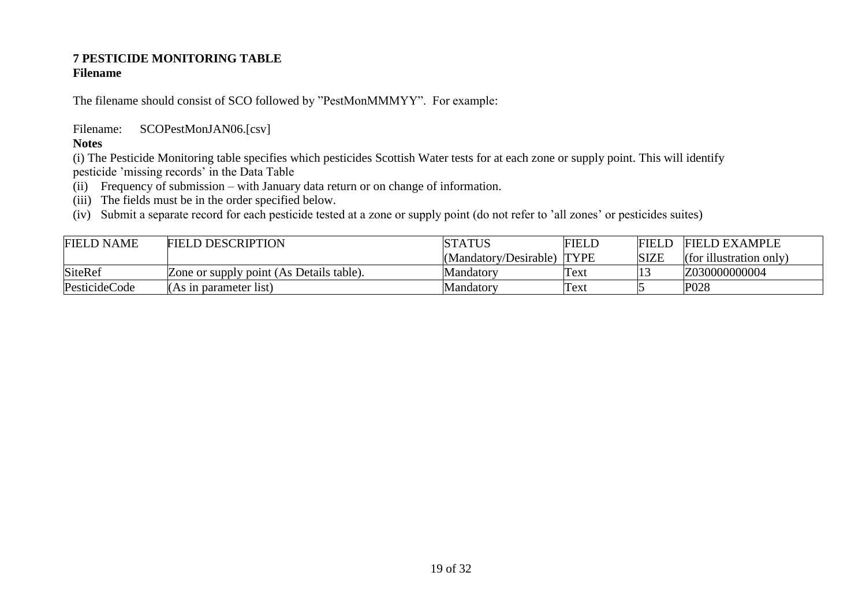#### **7 PESTICIDE MONITORING TABLE Filename**

The filename should consist of SCO followed by "PestMonMMMYY". For example:

Filename: SCOPestMonJAN06.[csv]

## **Notes**

(i) The Pesticide Monitoring table specifies which pesticides Scottish Water tests for at each zone or supply point. This will identify pesticide 'missing records' in the Data Table

- (ii) Frequency of submission with January data return or on change of information.
- (iii) The fields must be in the order specified below.

(iv) Submit a separate record for each pesticide tested at a zone or supply point (do not refer to 'all zones' or pesticides suites)

| <b>FIELD NAME</b> | <b>FIELD DESCRIPTION</b>                 | <b>STATUS</b>              | <b>FIELD</b> | FIELL       | <b>FIELD EXAMPLE</b>    |
|-------------------|------------------------------------------|----------------------------|--------------|-------------|-------------------------|
|                   |                                          | (Mandatory/Desirable) TYPE |              | <b>SIZE</b> | (for illustration only) |
| <b>SiteRef</b>    | Zone or supply point (As Details table). | Mandatorv                  | Text         |             | Z030000000004           |
| PesticideCode     | (As in parameter list)                   | Mandatorv                  | Text         |             | P <sub>028</sub>        |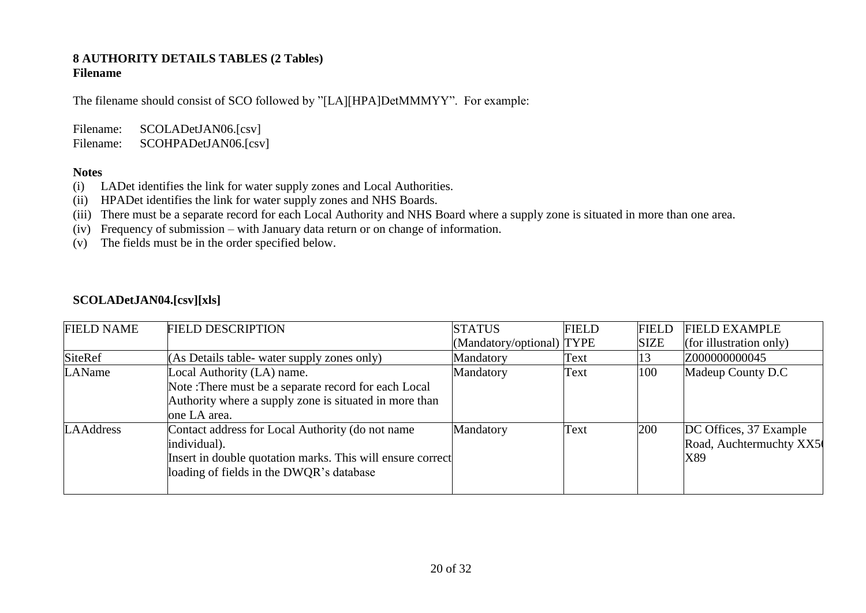#### **8 AUTHORITY DETAILS TABLES (2 Tables) Filename**

The filename should consist of SCO followed by "[LA][HPA]DetMMMYY". For example:

Filename: SCOLADetJAN06.[csv] Filename: SCOHPADetJAN06.[csv]

#### **Notes**

- (i) LADet identifies the link for water supply zones and Local Authorities.
- (ii) HPADet identifies the link for water supply zones and NHS Boards.
- (iii) There must be a separate record for each Local Authority and NHS Board where a supply zone is situated in more than one area.
- (iv) Frequency of submission with January data return or on change of information.
- (v) The fields must be in the order specified below.

## **SCOLADetJAN04.[csv][xls]**

| <b>FIELD NAME</b> | <b>FIELD DESCRIPTION</b>                                                                                                                                                   | <b>STATUS</b>             | <b>FIELD</b> | <b>FIELD</b> | <b>FIELD EXAMPLE</b>                                     |
|-------------------|----------------------------------------------------------------------------------------------------------------------------------------------------------------------------|---------------------------|--------------|--------------|----------------------------------------------------------|
|                   |                                                                                                                                                                            | (Mandatory/optional) TYPE |              | <b>SIZE</b>  | (for illustration only)                                  |
| SiteRef           | (As Details table- water supply zones only)                                                                                                                                | Mandatory                 | Text         |              | Z000000000045                                            |
| LAName            | Local Authority (LA) name.<br>Note: There must be a separate record for each Local<br>Authority where a supply zone is situated in more than<br>one LA area.               | Mandatory                 | Text         | 100          | Madeup County D.C                                        |
| <b>LAAddress</b>  | Contact address for Local Authority (do not name<br>individual).<br>Insert in double quotation marks. This will ensure correct<br>loading of fields in the DWQR's database | Mandatory                 | Text         | 200          | DC Offices, 37 Example<br>Road, Auchtermuchty XX5<br>X89 |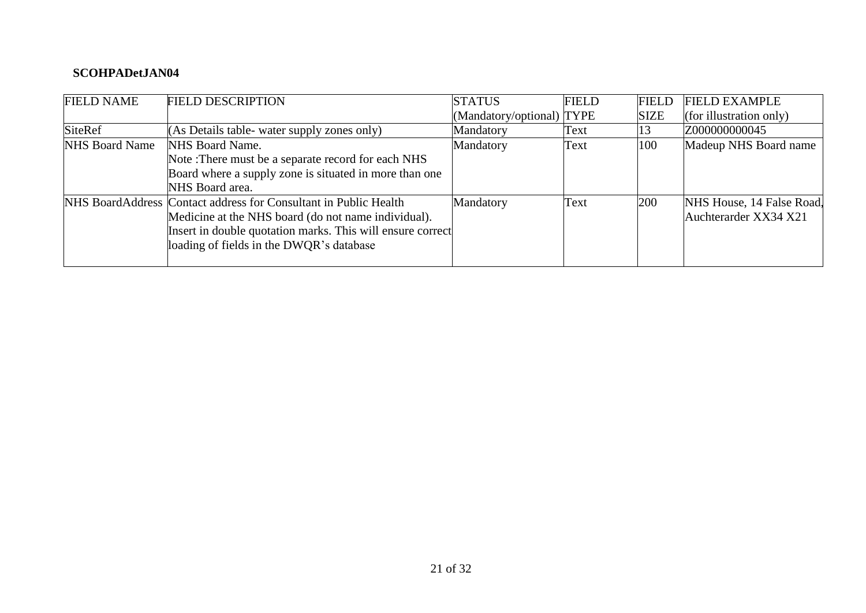## **SCOHPADetJAN04**

| <b>FIELD NAME</b>     | <b>FIELD DESCRIPTION</b>                                         | <b>STATUS</b>             | <b>FIELD</b> | <b>FIELD</b> | <b>FIELD EXAMPLE</b>      |
|-----------------------|------------------------------------------------------------------|---------------------------|--------------|--------------|---------------------------|
|                       |                                                                  | (Mandatory/optional) TYPE |              | <b>SIZE</b>  | (for illustration only)   |
| <b>SiteRef</b>        | (As Details table- water supply zones only)                      | Mandatory                 | Text         | L5           | Z000000000045             |
| <b>NHS Board Name</b> | NHS Board Name.                                                  | Mandatory                 | Text         | 100          | Madeup NHS Board name     |
|                       | Note: There must be a separate record for each NHS               |                           |              |              |                           |
|                       | Board where a supply zone is situated in more than one           |                           |              |              |                           |
|                       | NHS Board area.                                                  |                           |              |              |                           |
|                       | NHS BoardAddress Contact address for Consultant in Public Health | Mandatory                 | Text         | 200          | NHS House, 14 False Road. |
|                       | Medicine at the NHS board (do not name individual).              |                           |              |              | Auchterarder XX34 X21     |
|                       | Insert in double quotation marks. This will ensure correct       |                           |              |              |                           |
|                       | loading of fields in the DWQR's database                         |                           |              |              |                           |
|                       |                                                                  |                           |              |              |                           |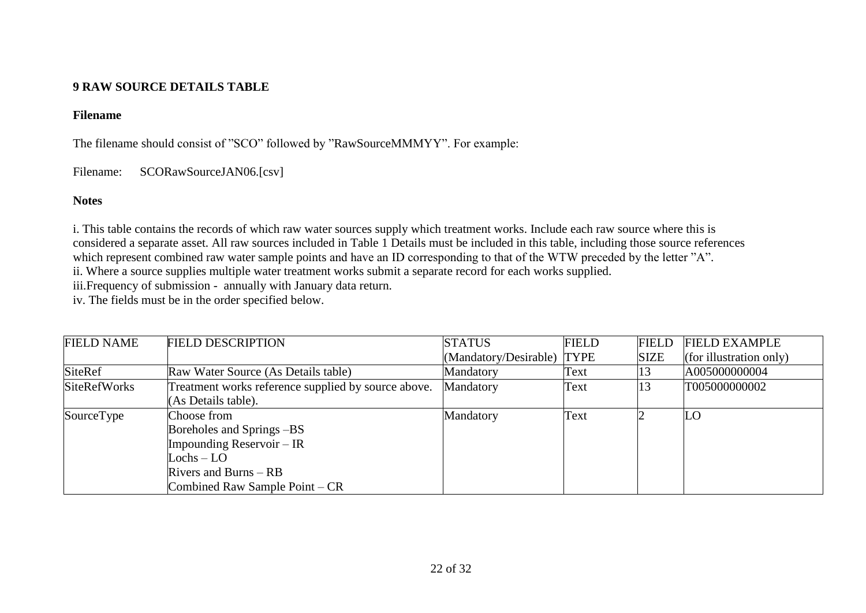## **9 RAW SOURCE DETAILS TABLE**

#### **Filename**

The filename should consist of "SCO" followed by "RawSourceMMMYY". For example:

Filename: SCORawSourceJAN06.[csv]

## **Notes**

i. This table contains the records of which raw water sources supply which treatment works. Include each raw source where this is considered a separate asset. All raw sources included in Table 1 Details must be included in this table, including those source references which represent combined raw water sample points and have an ID corresponding to that of the WTW preceded by the letter "A". ii. Where a source supplies multiple water treatment works submit a separate record for each works supplied.

iii.Frequency of submission - annually with January data return.

iv. The fields must be in the order specified below.

| <b>FIELD NAME</b>   | <b>FIELD DESCRIPTION</b>                            | <b>STATUS</b>              | <b>FIELD</b> | <b>FIELD</b> | <b>FIELD EXAMPLE</b>    |
|---------------------|-----------------------------------------------------|----------------------------|--------------|--------------|-------------------------|
|                     |                                                     | (Mandatory/Desirable) TYPE |              | <b>SIZE</b>  | (for illustration only) |
| SiteRef             | Raw Water Source (As Details table)                 | Mandatory                  | Text         | 13           | A005000000004           |
| <b>SiteRefWorks</b> | Treatment works reference supplied by source above. | Mandatory                  | Text         | 13           | T005000000002           |
|                     | (As Details table).                                 |                            |              |              |                         |
| SourceType          | Choose from                                         | Mandatory                  | Text         |              | LO                      |
|                     | Boreholes and Springs – BS                          |                            |              |              |                         |
|                     | Impounding Reservoir $- IR$                         |                            |              |              |                         |
|                     | $Lochs - LO$                                        |                            |              |              |                         |
|                     | Rivers and Burns $-$ RB                             |                            |              |              |                         |
|                     | Combined Raw Sample Point – CR                      |                            |              |              |                         |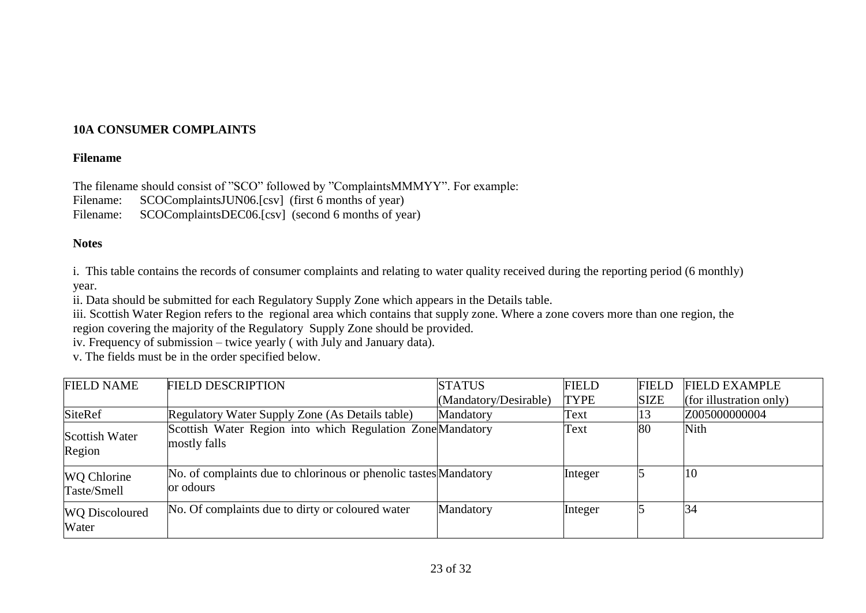## **10A CONSUMER COMPLAINTS**

#### **Filename**

The filename should consist of "SCO" followed by "ComplaintsMMMYY". For example:

Filename: SCOComplaintsJUN06.[csv] (first 6 months of year)

Filename: SCOComplaintsDEC06.[csv] (second 6 months of year)

## **Notes**

i. This table contains the records of consumer complaints and relating to water quality received during the reporting period (6 monthly) year.

ii. Data should be submitted for each Regulatory Supply Zone which appears in the Details table.

iii. Scottish Water Region refers to the regional area which contains that supply zone. Where a zone covers more than one region, the region covering the majority of the Regulatory Supply Zone should be provided.

iv. Frequency of submission – twice yearly ( with July and January data).

v. The fields must be in the order specified below.

| <b>FIELD NAME</b>              | <b>FIELD DESCRIPTION</b>                                                      | <b>STATUS</b>         | <b>FIELD</b> | <b>FIELD</b> | <b>FIELD EXAMPLE</b>    |
|--------------------------------|-------------------------------------------------------------------------------|-----------------------|--------------|--------------|-------------------------|
|                                |                                                                               | (Mandatory/Desirable) | <b>TYPE</b>  | <b>SIZE</b>  | (for illustration only) |
| <b>SiteRef</b>                 | Regulatory Water Supply Zone (As Details table)                               | Mandatory             | Text         |              | Z005000000004           |
| Scottish Water<br>Region       | Scottish Water Region into which Regulation Zone Mandatory<br>mostly falls    |                       | Text         | 80           | <b>Nith</b>             |
| WQ Chlorine<br>Taste/Smell     | No. of complaints due to chlorinous or phenolic tastes Mandatory<br>or odours |                       | Integer      |              | 10                      |
| <b>WQ</b> Discoloured<br>Water | No. Of complaints due to dirty or coloured water                              | Mandatory             | Integer      |              | 34                      |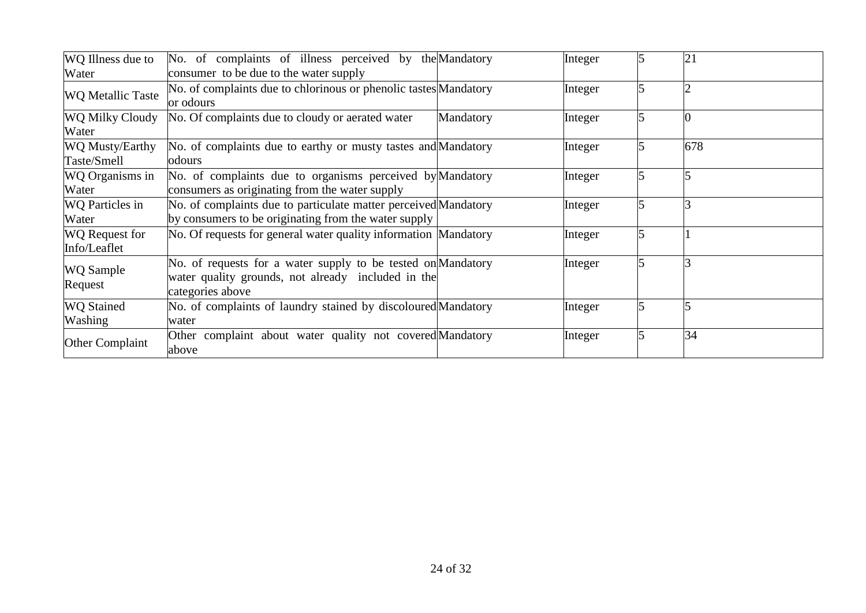| WQ Illness due to<br>Water            | No. of complaints of illness perceived by the Mandatory<br>consumer to be due to the water supply                                      |           | Integer | 21  |
|---------------------------------------|----------------------------------------------------------------------------------------------------------------------------------------|-----------|---------|-----|
| <b>WQ Metallic Taste</b>              | No. of complaints due to chlorinous or phenolic tastes Mandatory<br>or odours                                                          |           | Integer |     |
| WQ Milky Cloudy<br>Water              | No. Of complaints due to cloudy or aerated water                                                                                       | Mandatory | Integer |     |
| WQ Musty/Earthy<br>Taste/Smell        | No. of complaints due to earthy or musty tastes and Mandatory<br>odours                                                                |           | Integer | 678 |
| WQ Organisms in<br>Water              | No. of complaints due to organisms perceived by Mandatory<br>consumers as originating from the water supply                            |           | Integer |     |
| <b>WQ</b> Particles in<br>Water       | No. of complaints due to particulate matter perceived Mandatory<br>by consumers to be originating from the water supply                |           | Integer |     |
| <b>WQ</b> Request for<br>Info/Leaflet | No. Of requests for general water quality information Mandatory                                                                        |           | Integer |     |
| <b>WQ</b> Sample<br>Request           | No. of requests for a water supply to be tested on Mandatory<br>water quality grounds, not already included in the<br>categories above |           | Integer |     |
| <b>WQ Stained</b><br>Washing          | No. of complaints of laundry stained by discoloured Mandatory<br>water                                                                 |           | Integer |     |
| Other Complaint                       | Other complaint about water quality not covered Mandatory<br>above                                                                     |           | Integer | 34  |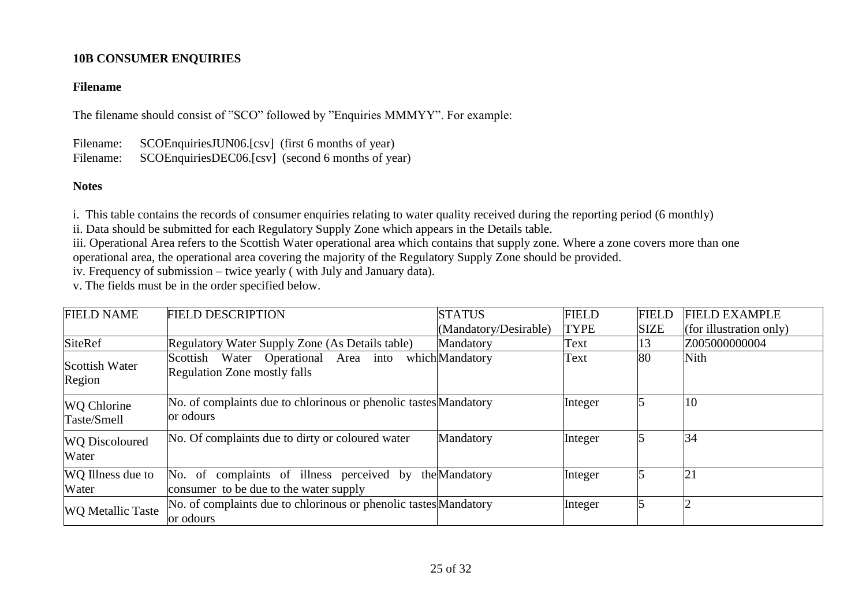## **10B CONSUMER ENQUIRIES**

## **Filename**

The filename should consist of "SCO" followed by "Enquiries MMMYY". For example:

Filename: SCOEnquiriesJUN06.[csv] (first 6 months of year) Filename: SCOEnquiriesDEC06.[csv] (second 6 months of year)

## **Notes**

i. This table contains the records of consumer enquiries relating to water quality received during the reporting period (6 monthly)

ii. Data should be submitted for each Regulatory Supply Zone which appears in the Details table.

iii. Operational Area refers to the Scottish Water operational area which contains that supply zone. Where a zone covers more than one operational area, the operational area covering the majority of the Regulatory Supply Zone should be provided.

iv. Frequency of submission – twice yearly ( with July and January data).

v. The fields must be in the order specified below.

| <b>FIELD NAME</b>                 | <b>FIELD DESCRIPTION</b>                                                                          | <b>STATUS</b>         | <b>FIELD</b> | <b>FIELD</b> | <b>FIELD EXAMPLE</b>    |
|-----------------------------------|---------------------------------------------------------------------------------------------------|-----------------------|--------------|--------------|-------------------------|
|                                   |                                                                                                   | (Mandatory/Desirable) | <b>TYPE</b>  | <b>SIZE</b>  | (for illustration only) |
| <b>SiteRef</b>                    | Regulatory Water Supply Zone (As Details table)                                                   | Mandatory             | Text         | l3           | Z005000000004           |
| Scottish Water<br>Region          | Scottish Water Operational Area<br>into<br><b>Regulation Zone mostly falls</b>                    | whichMandatory        | Text         | 80           | Nith                    |
| <b>WQ Chlorine</b><br>Taste/Smell | No. of complaints due to chlorinous or phenolic tastes Mandatory<br>or odours                     |                       | Integer      |              | 10                      |
| <b>WQ</b> Discoloured<br>Water    | No. Of complaints due to dirty or coloured water                                                  | Mandatory             | Integer      |              | 34                      |
| WQ Illness due to<br>Water        | No. of complaints of illness perceived by the Mandatory<br>consumer to be due to the water supply |                       | Integer      |              | $\overline{21}$         |
| <b>WQ Metallic Taste</b>          | No. of complaints due to chlorinous or phenolic tastes Mandatory<br>or odours                     |                       | Integer      |              |                         |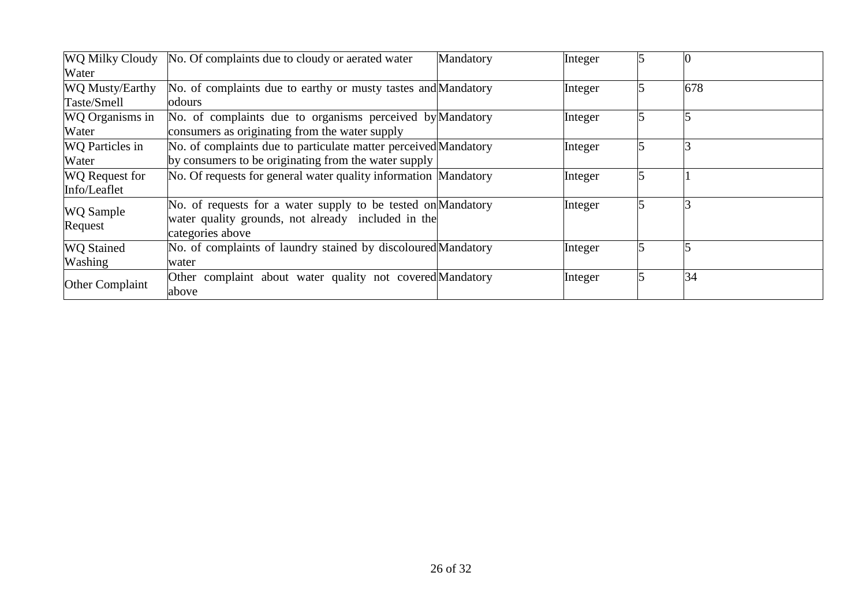|                        | WQ Milky Cloudy No. Of complaints due to cloudy or aerated water | Mandatory | Integer |     |
|------------------------|------------------------------------------------------------------|-----------|---------|-----|
| Water                  |                                                                  |           |         |     |
| WQ Musty/Earthy        | No. of complaints due to earthy or musty tastes and Mandatory    |           | Integer | 678 |
| Taste/Smell            | odours                                                           |           |         |     |
| WQ Organisms in        | No. of complaints due to organisms perceived by Mandatory        |           | Integer |     |
| Water                  | consumers as originating from the water supply                   |           |         |     |
| <b>WQ</b> Particles in | No. of complaints due to particulate matter perceived Mandatory  |           | Integer |     |
| Water                  | by consumers to be originating from the water supply             |           |         |     |
| <b>WQ</b> Request for  | No. Of requests for general water quality information Mandatory  |           | Integer |     |
| Info/Leaflet           |                                                                  |           |         |     |
| <b>WQ</b> Sample       | No. of requests for a water supply to be tested on Mandatory     |           | Integer |     |
| Request                | water quality grounds, not already included in the               |           |         |     |
|                        | categories above                                                 |           |         |     |
| <b>WQ</b> Stained      | No. of complaints of laundry stained by discoloured Mandatory    |           | Integer |     |
| Washing                | water                                                            |           |         |     |
|                        | Other complaint about water quality not covered Mandatory        |           | Integer | 34  |
| Other Complaint        | above                                                            |           |         |     |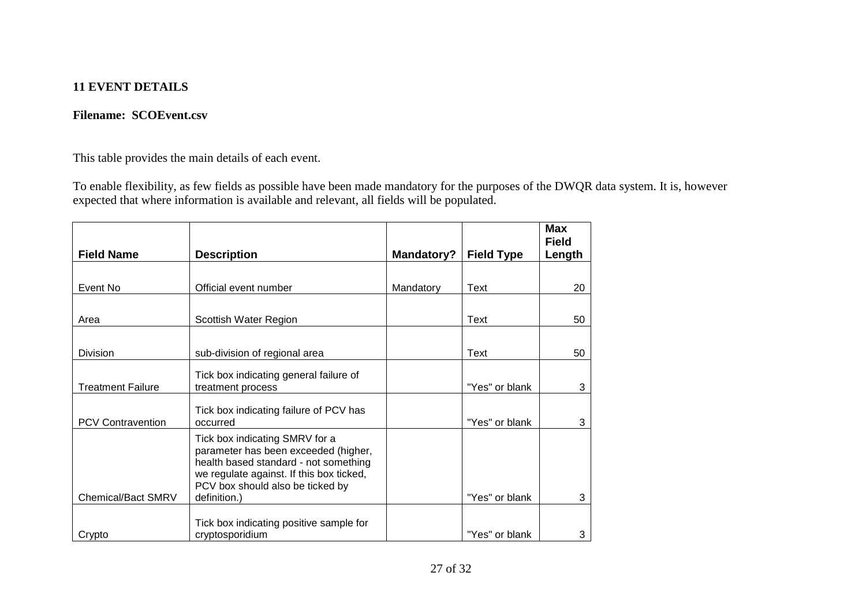## **11 EVENT DETAILS**

## **Filename: SCOEvent.csv**

This table provides the main details of each event.

To enable flexibility, as few fields as possible have been made mandatory for the purposes of the DWQR data system. It is, however expected that where information is available and relevant, all fields will be populated.

|                           |                                                                                                                                                                                                                 |            |                   | <b>Max</b><br><b>Field</b> |
|---------------------------|-----------------------------------------------------------------------------------------------------------------------------------------------------------------------------------------------------------------|------------|-------------------|----------------------------|
| <b>Field Name</b>         | <b>Description</b>                                                                                                                                                                                              | Mandatory? | <b>Field Type</b> | Length                     |
|                           |                                                                                                                                                                                                                 |            |                   |                            |
| Event No                  | Official event number                                                                                                                                                                                           | Mandatory  | Text              | 20                         |
|                           |                                                                                                                                                                                                                 |            |                   |                            |
| Area                      | Scottish Water Region                                                                                                                                                                                           |            | Text              | 50                         |
|                           |                                                                                                                                                                                                                 |            |                   |                            |
| Division                  | sub-division of regional area                                                                                                                                                                                   |            | Text              | 50                         |
|                           | Tick box indicating general failure of                                                                                                                                                                          |            |                   |                            |
| <b>Treatment Failure</b>  | treatment process                                                                                                                                                                                               |            | "Yes" or blank    | 3                          |
| <b>PCV Contravention</b>  | Tick box indicating failure of PCV has<br>occurred                                                                                                                                                              |            | "Yes" or blank    | 3                          |
| <b>Chemical/Bact SMRV</b> | Tick box indicating SMRV for a<br>parameter has been exceeded (higher,<br>health based standard - not something<br>we regulate against. If this box ticked,<br>PCV box should also be ticked by<br>definition.) |            | "Yes" or blank    | 3                          |
|                           | Tick box indicating positive sample for                                                                                                                                                                         |            |                   |                            |
| Crypto                    | cryptosporidium                                                                                                                                                                                                 |            | "Yes" or blank    | 3                          |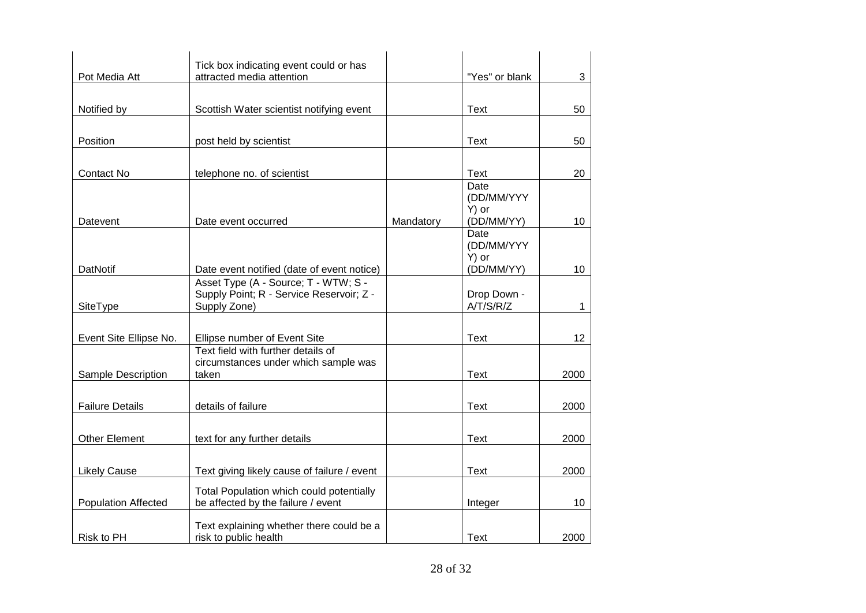|                            | Tick box indicating event could or has                                             |           |                     |      |
|----------------------------|------------------------------------------------------------------------------------|-----------|---------------------|------|
| Pot Media Att              | attracted media attention                                                          |           | "Yes" or blank      | 3    |
|                            |                                                                                    |           |                     |      |
| Notified by                | Scottish Water scientist notifying event                                           |           | <b>Text</b>         | 50   |
|                            |                                                                                    |           |                     |      |
| Position                   | post held by scientist                                                             |           | <b>Text</b>         | 50   |
|                            |                                                                                    |           |                     |      |
| <b>Contact No</b>          | telephone no. of scientist                                                         |           | <b>Text</b>         | 20   |
|                            |                                                                                    |           | Date                |      |
|                            |                                                                                    |           | (DD/MM/YYY<br>Y) or |      |
| Datevent                   | Date event occurred                                                                | Mandatory | (DD/MM/YY)          | 10   |
|                            |                                                                                    |           | Date                |      |
|                            |                                                                                    |           | (DD/MM/YYY          |      |
|                            |                                                                                    |           | Y) or               |      |
| DatNotif                   | Date event notified (date of event notice)<br>Asset Type (A - Source; T - WTW; S - |           | (DD/MM/YY)          | 10   |
|                            | Supply Point; R - Service Reservoir; Z -                                           |           | Drop Down -         |      |
| SiteType                   | Supply Zone)                                                                       |           | A/T/S/R/Z           | 1    |
|                            |                                                                                    |           |                     |      |
| Event Site Ellipse No.     | Ellipse number of Event Site                                                       |           | Text                | 12   |
|                            | Text field with further details of                                                 |           |                     |      |
|                            | circumstances under which sample was                                               |           |                     |      |
| Sample Description         | taken                                                                              |           | <b>Text</b>         | 2000 |
|                            |                                                                                    |           |                     |      |
| <b>Failure Details</b>     | details of failure                                                                 |           | <b>Text</b>         | 2000 |
|                            |                                                                                    |           |                     |      |
| <b>Other Element</b>       | text for any further details                                                       |           | <b>Text</b>         | 2000 |
|                            |                                                                                    |           |                     |      |
| <b>Likely Cause</b>        | Text giving likely cause of failure / event                                        |           | <b>Text</b>         | 2000 |
|                            | Total Population which could potentially                                           |           |                     |      |
| <b>Population Affected</b> | be affected by the failure / event                                                 |           | Integer             | 10   |
|                            |                                                                                    |           |                     |      |
| Risk to PH                 | Text explaining whether there could be a<br>risk to public health                  |           | <b>Text</b>         | 2000 |
|                            |                                                                                    |           |                     |      |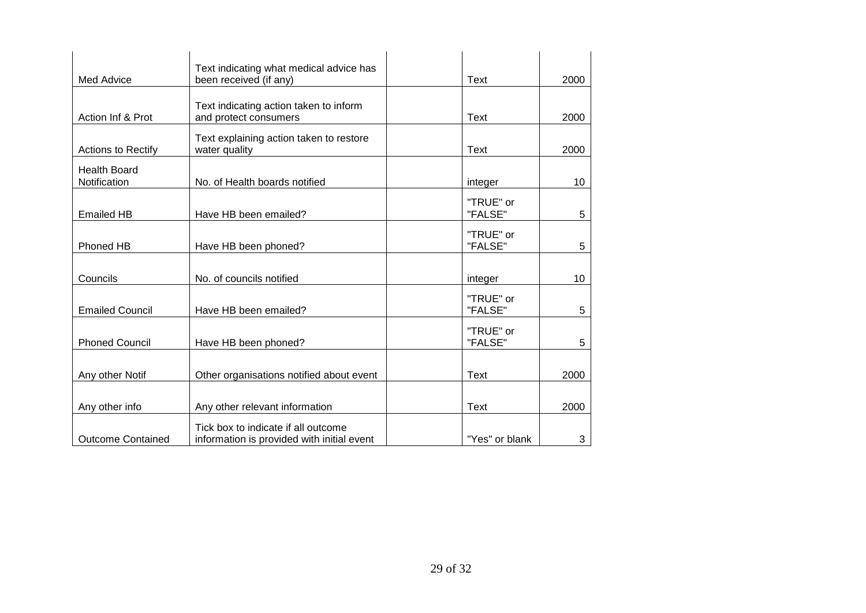|                                     | Text indicating what medical advice has                                           |                      |      |
|-------------------------------------|-----------------------------------------------------------------------------------|----------------------|------|
| Med Advice                          | been received (if any)                                                            | Text                 | 2000 |
| Action Inf & Prot                   | Text indicating action taken to inform<br>and protect consumers                   | Text                 | 2000 |
| <b>Actions to Rectify</b>           | Text explaining action taken to restore<br>water quality                          | Text                 | 2000 |
| <b>Health Board</b><br>Notification | No. of Health boards notified                                                     | integer              | 10   |
| <b>Emailed HB</b>                   | Have HB been emailed?                                                             | "TRUE" or<br>"FALSE" | 5    |
| Phoned HB                           | Have HB been phoned?                                                              | "TRUE" or<br>"FALSE" | 5    |
| Councils                            | No. of councils notified                                                          | integer              | 10   |
| <b>Emailed Council</b>              | Have HB been emailed?                                                             | "TRUE" or<br>"FALSE" | 5    |
| <b>Phoned Council</b>               | Have HB been phoned?                                                              | "TRUE" or<br>"FALSE" | 5    |
| Any other Notif                     | Other organisations notified about event                                          | <b>Text</b>          | 2000 |
| Any other info                      | Any other relevant information                                                    | Text                 | 2000 |
| <b>Outcome Contained</b>            | Tick box to indicate if all outcome<br>information is provided with initial event | "Yes" or blank       | 3    |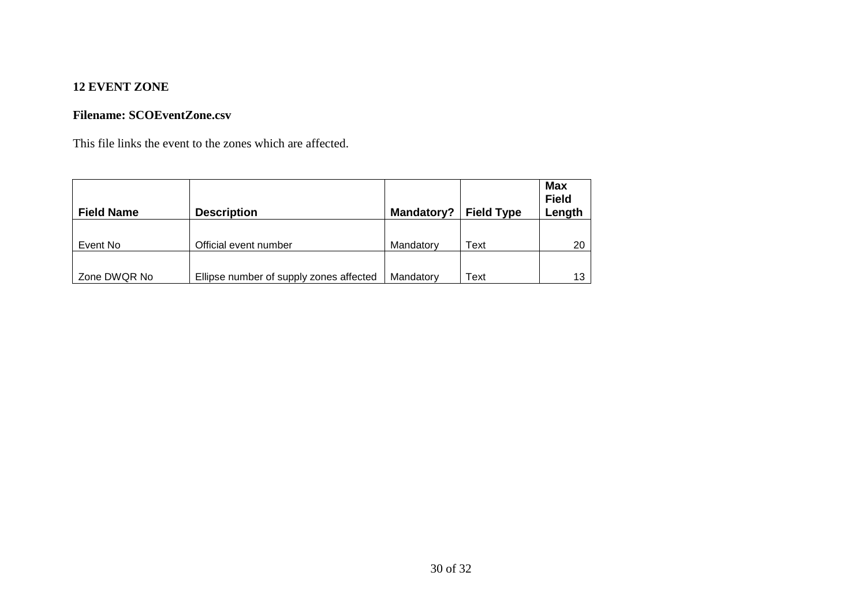## **12 EVENT ZONE**

## **Filename: SCOEventZone.csv**

This file links the event to the zones which are affected.

| <b>Field Name</b> | <b>Description</b>                      | Mandatory? | <b>Field Type</b> | <b>Max</b><br><b>Field</b><br>Length |
|-------------------|-----------------------------------------|------------|-------------------|--------------------------------------|
| Event No          | Official event number                   | Mandatory  | Text              | 20                                   |
| Zone DWQR No      | Ellipse number of supply zones affected | Mandatory  | Text              | 13                                   |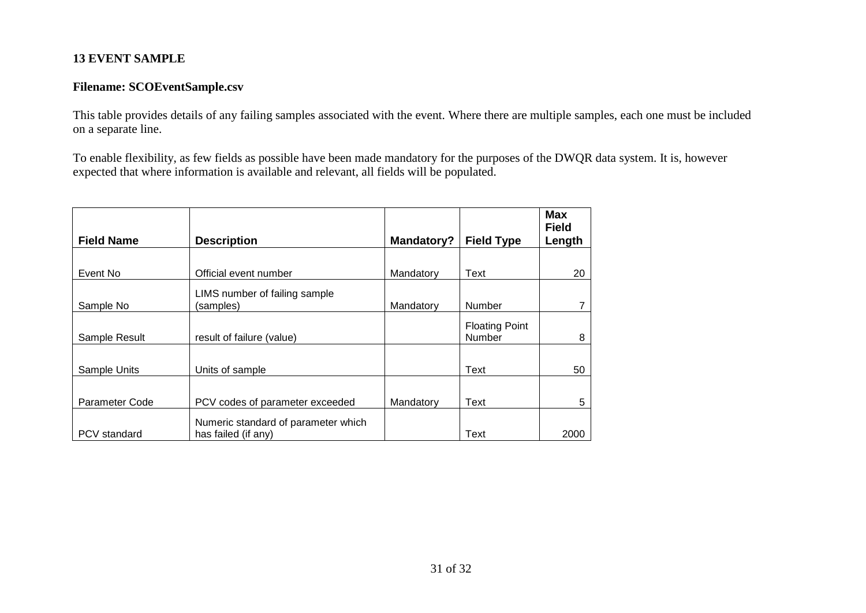## **13 EVENT SAMPLE**

## **Filename: SCOEventSample.csv**

This table provides details of any failing samples associated with the event. Where there are multiple samples, each one must be included on a separate line.

To enable flexibility, as few fields as possible have been made mandatory for the purposes of the DWQR data system. It is, however expected that where information is available and relevant, all fields will be populated.

| <b>Field Name</b>     | <b>Description</b>                                         | Mandatory? | <b>Field Type</b>               | <b>Max</b><br><b>Field</b><br>Length |
|-----------------------|------------------------------------------------------------|------------|---------------------------------|--------------------------------------|
|                       |                                                            |            |                                 |                                      |
| Event No              | Official event number                                      | Mandatory  | Text                            | 20                                   |
| Sample No             | LIMS number of failing sample<br>(samples)                 | Mandatory  | <b>Number</b>                   |                                      |
| Sample Result         | result of failure (value)                                  |            | <b>Floating Point</b><br>Number | 8                                    |
| Sample Units          | Units of sample                                            |            | Text                            | 50                                   |
| <b>Parameter Code</b> | PCV codes of parameter exceeded                            | Mandatory  | Text                            | 5                                    |
| <b>PCV</b> standard   | Numeric standard of parameter which<br>has failed (if any) |            | Text                            | 2000                                 |